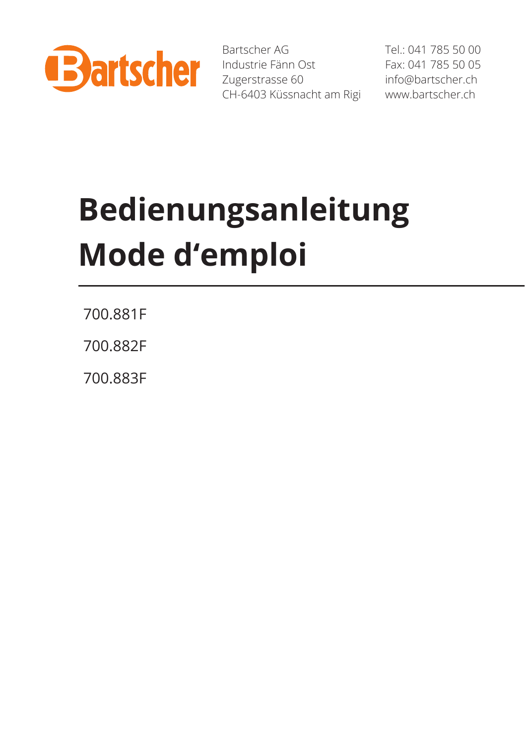

Bartscher AG Industrie Fänn Ost Zugerstrasse 60 CH-6403 Küssnacht am Rigi Tel.: 041 785 50 00 Fax: 041 785 50 05 info@bartscher.ch www.bartscher.ch

# **Bedienungsanleitung Mode d'emploi**

700.881F

700.882F

700.883F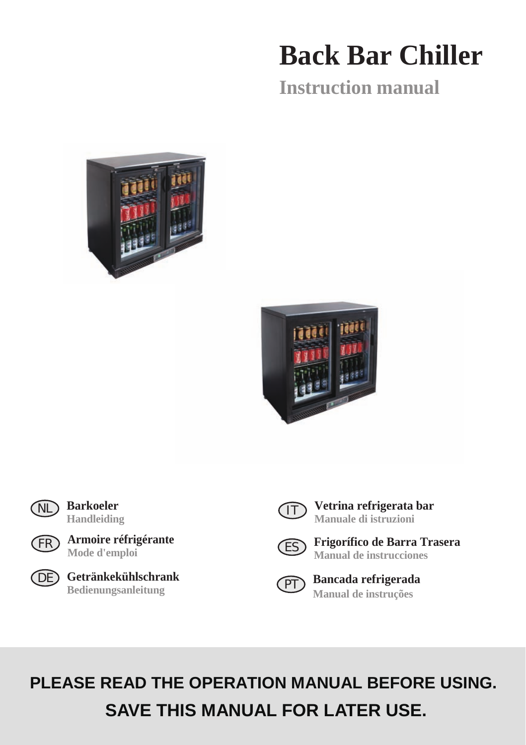## **Back Bar Chiller**

**Instruction manual**







**Barkoeler Handleiding**



**Armoire réfrigérante Mode d'emploi**



**Getränkekühlschrank** DE **Bedienungsanleitung**



**Vetrina refrigerata bar Manuale di istruzioni**



**Frigorífico de Barra Trasera Manual de instrucciones**



**Bancada refrigerada Manual de instruções**

## **PLEASE READ THE OPERATION MANUAL BEFORE USING. SAVE THIS MANUAL FOR LATER USE.**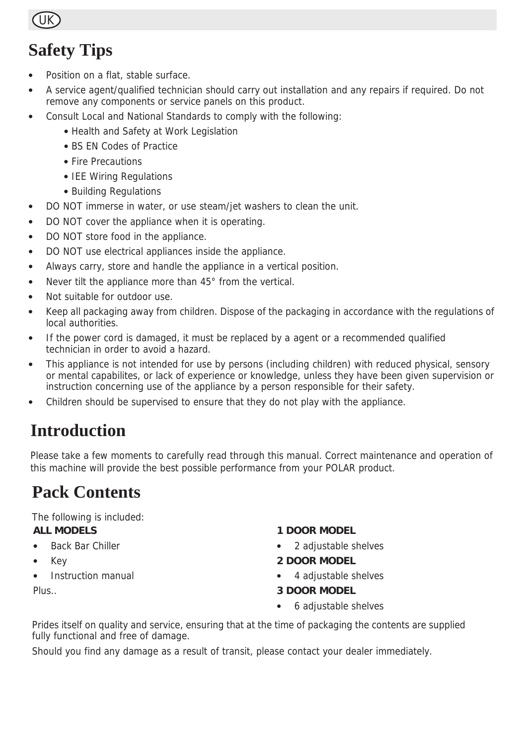

### **Safety Tips**

- Position on a flat, stable surface.
- A service agent/qualified technician should carry out installation and any repairs if required. Do not remove any components or service panels on this product.
- Consult Local and National Standards to comply with the following:
	- Health and Safety at Work Legislation
	- BS EN Codes of Practice
	- Fire Precautions
	- IEE Wiring Regulations
	- Building Regulations
- DO NOT immerse in water, or use steam/jet washers to clean the unit.
- DO NOT cover the appliance when it is operating.
- DO NOT store food in the appliance.
- DO NOT use electrical appliances inside the appliance.
- Always carry, store and handle the appliance in a vertical position.
- Never tilt the appliance more than 45° from the vertical.
- Not suitable for outdoor use.
- Keep all packaging away from children. Dispose of the packaging in accordance with the regulations of local authorities.
- If the power cord is damaged, it must be replaced by a agent or a recommended qualified technician in order to avoid a hazard.
- This appliance is not intended for use by persons (including children) with reduced physical, sensory or mental capabilites, or lack of experience or knowledge, unless they have been given supervision or instruction concerning use of the appliance by a person responsible for their safety.
- Children should be supervised to ensure that they do not play with the appliance.

### **Introduction**

Please take a few moments to carefully read through this manual. Correct maintenance and operation of this machine will provide the best possible performance from your POLAR product.

### **Pack Contents**

The following is included:

#### **ALL MODELS**

- **Back Bar Chiller**
- Key
- Instruction manual

Plus..

#### **1 DOOR MODEL**

- 2 adjustable shelves
- **2 DOOR MODEL**
- 4 adjustable shelves

#### **3 DOOR MODEL**

• 6 adjustable shelves

Prides itself on quality and service, ensuring that at the time of packaging the contents are supplied fully functional and free of damage.

Should you find any damage as a result of transit, please contact your dealer immediately.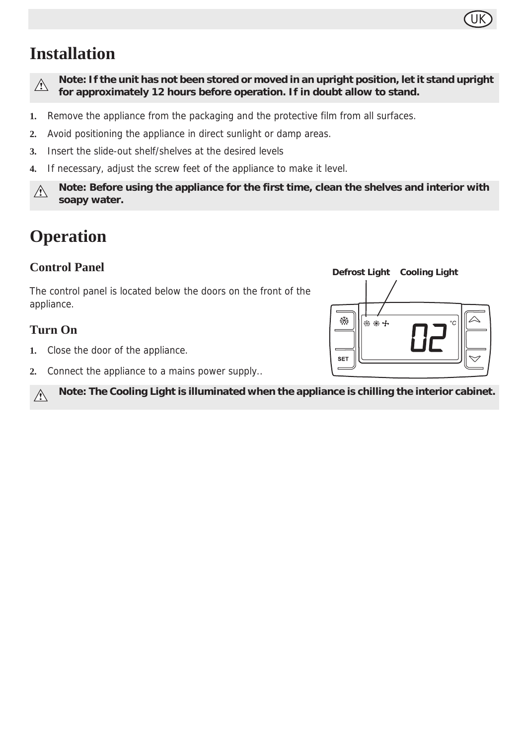### UK

### **Installation**

 $\wedge$ 

**Note: If the unit has not been stored or moved in an upright position, let it stand upright for approximately 12 hours before operation. If in doubt allow to stand.**

- **1.** Remove the appliance from the packaging and the protective film from all surfaces.
- **2.** Avoid positioning the appliance in direct sunlight or damp areas.
- **3.** Insert the slide-out shelf/shelves at the desired levels
- **4.** If necessary, adjust the screw feet of the appliance to make it level.

**Note: Before using the appliance for the first time, clean the shelves and interior with**   $\wedge$ **soapy water.**

### **Operation**

#### **Control Panel**

The control panel is located below the doors on the front of the appliance.

#### **Turn On**

- **1.** Close the door of the appliance.
- **2.** Connect the appliance to a mains power supply..

**Note: The Cooling Light is illuminated when the appliance is chilling the interior cabinet.**  $\bigwedge$ 

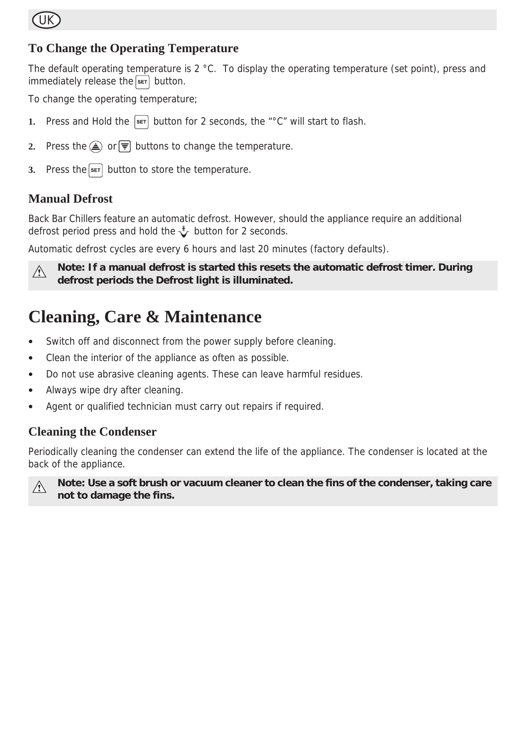

#### **To Change the Operating Temperature**

The default operating temperature is  $2 \text{ }^{\circ}$ C. To display the operating temperature (set point), press and  $immediately$  release the  $s$ <sub>ET</sub> button.

To change the operating temperature;

- **1.** Press and Hold the  $\boxed{\text{ser}}$  button for 2 seconds, the "°C" will start to flash.
- **2.** Press the  $\textcircled{A}$  or  $\textcircled{F}$  buttons to change the temperature.
- **3.** Press the **SET** button to store the temperature.

#### **Manual Defrost**

Back Bar Chillers feature an automatic defrost. However, should the appliance require an additional defrost period press and hold the  $\sqrt[k]{\ }$  button for 2 seconds.

Automatic defrost cycles are every 6 hours and last 20 minutes (factory defaults).



**Note: If a manual defrost is started this resets the automatic defrost timer. During defrost periods the Defrost light is illuminated.**

### **Cleaning, Care & Maintenance**

- Switch off and disconnect from the power supply before cleaning.
- Clean the interior of the appliance as often as possible.
- Do not use abrasive cleaning agents. These can leave harmful residues.
- Always wipe dry after cleaning.
- Agent or qualified technician must carry out repairs if required.

#### **Cleaning the Condenser**

Periodically cleaning the condenser can extend the life of the appliance. The condenser is located at the back of the appliance.



**Note: Use a soft brush or vacuum cleaner to clean the fins of the condenser, taking care not to damage the fins.**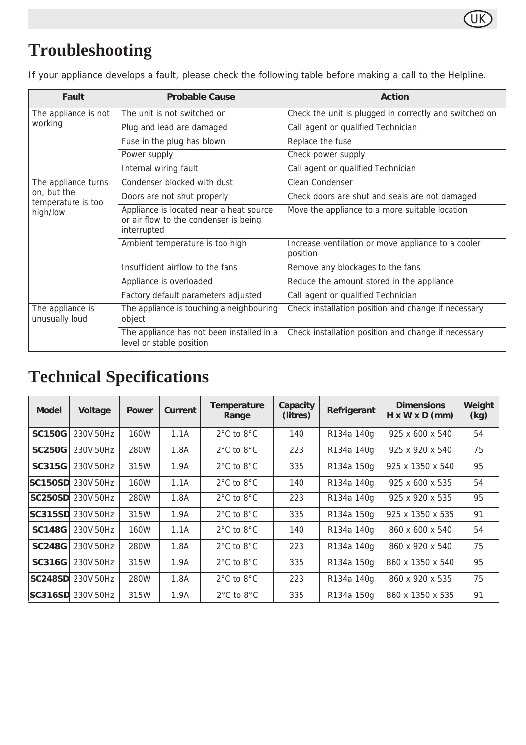

### **Troubleshooting**

If your appliance develops a fault, please check the following table before making a call to the Helpline.

| Fault                                         | <b>Probable Cause</b>                                                                           | Action                                                         |  |  |
|-----------------------------------------------|-------------------------------------------------------------------------------------------------|----------------------------------------------------------------|--|--|
| The appliance is not                          | The unit is not switched on                                                                     | Check the unit is plugged in correctly and switched on         |  |  |
| working                                       | Plug and lead are damaged                                                                       | Call agent or qualified Technician                             |  |  |
|                                               | Fuse in the plug has blown                                                                      | Replace the fuse                                               |  |  |
|                                               | Power supply                                                                                    | Check power supply                                             |  |  |
|                                               | Internal wiring fault                                                                           | Call agent or qualified Technician                             |  |  |
| The appliance turns                           | Condenser blocked with dust                                                                     | Clean Condenser                                                |  |  |
| on, but the<br>temperature is too<br>high/low | Doors are not shut properly                                                                     | Check doors are shut and seals are not damaged                 |  |  |
|                                               | Appliance is located near a heat source<br>or air flow to the condenser is being<br>interrupted | Move the appliance to a more suitable location                 |  |  |
|                                               | Ambient temperature is too high                                                                 | Increase ventilation or move appliance to a cooler<br>position |  |  |
|                                               | Insufficient airflow to the fans                                                                | Remove any blockages to the fans                               |  |  |
|                                               | Appliance is overloaded                                                                         | Reduce the amount stored in the appliance                      |  |  |
|                                               | Factory default parameters adjusted                                                             | Call agent or qualified Technician                             |  |  |
| The appliance is<br>unusually loud            | The appliance is touching a neighbouring<br>object                                              | Check installation position and change if necessary            |  |  |
|                                               | The appliance has not been installed in a<br>level or stable position                           | Check installation position and change if necessary            |  |  |

### **Technical Specifications**

| <b>Model</b>   | Voltage   | Power | Current | Temperature<br>Range           | Capacity<br>(litres) | Refrigerant | <b>Dimensions</b><br>$H \times W \times D$ (mm) | Weight<br>(kg) |
|----------------|-----------|-------|---------|--------------------------------|----------------------|-------------|-------------------------------------------------|----------------|
| <b>SC150G</b>  | 230V 50Hz | 160W  | 1.1A    | $2^{\circ}$ C to $8^{\circ}$ C | 140                  | R134a 140g  | 925 x 600 x 540                                 | 54             |
| <b>SC250G</b>  | 230V 50Hz | 280W  | 1.8A    | $2^{\circ}$ C to $8^{\circ}$ C | 223                  | R134a 140g  | 925 x 920 x 540                                 | 75             |
| SC315G         | 230V 50Hz | 315W  | 1.9A    | $2^{\circ}$ C to $8^{\circ}$ C | 335                  | R134a 150g  | 925 x 1350 x 540                                | 95             |
| <b>SC150SD</b> | 230V 50Hz | 160W  | 1.1A    | $2^{\circ}$ C to $8^{\circ}$ C | 140                  | R134a 140g  | 925 x 600 x 535                                 | 54             |
| <b>SC250SD</b> | 230V 50Hz | 280W  | 1.8A    | $2^{\circ}$ C to $8^{\circ}$ C | 223                  | R134a 140g  | 925 x 920 x 535                                 | 95             |
| SC315SD        | 230V 50Hz | 315W  | 1.9A    | $2^{\circ}$ C to $8^{\circ}$ C | 335                  | R134a 150g  | 925 x 1350 x 535                                | 91             |
| <b>SC148G</b>  | 230V 50Hz | 160W  | 1.1A    | $2^{\circ}$ C to $8^{\circ}$ C | 140                  | R134a 140g  | 860 x 600 x 540                                 | 54             |
| <b>SC248G</b>  | 230V 50Hz | 280W  | 1.8A    | $2^{\circ}$ C to $8^{\circ}$ C | 223                  | R134a 140g  | 860 x 920 x 540                                 | 75             |
| <b>SC316G</b>  | 230V 50Hz | 315W  | 1.9A    | $2^{\circ}$ C to $8^{\circ}$ C | 335                  | R134a 150g  | 860 x 1350 x 540                                | 95             |
| SC248SD        | 230V 50Hz | 280W  | 1.8A    | $2^{\circ}$ C to $8^{\circ}$ C | 223                  | R134a 140g  | 860 x 920 x 535                                 | 75             |
| SC316SD        | 230V 50Hz | 315W  | 1.9A    | $2^{\circ}$ C to $8^{\circ}$ C | 335                  | R134a 150g  | 860 x 1350 x 535                                | 91             |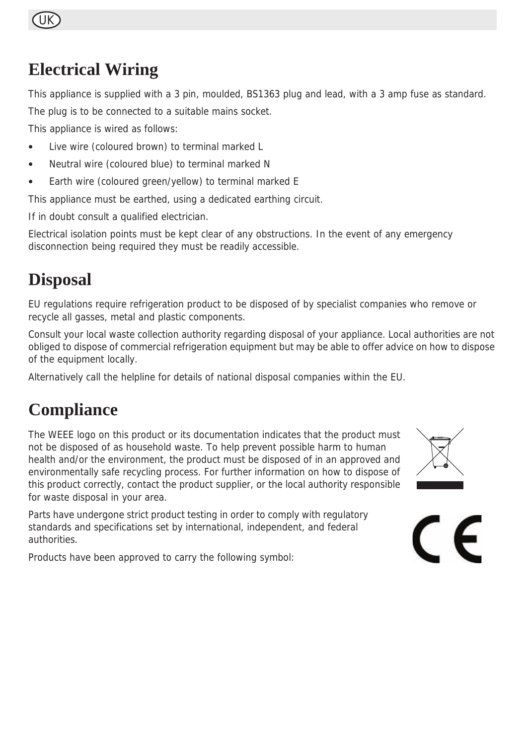### UK

### **Electrical Wiring**

This appliance is supplied with a 3 pin, moulded, BS1363 plug and lead, with a 3 amp fuse as standard.

The plug is to be connected to a suitable mains socket.

This appliance is wired as follows:

- Live wire (coloured brown) to terminal marked L
- Neutral wire (coloured blue) to terminal marked N
- Earth wire (coloured green/yellow) to terminal marked E

This appliance must be earthed, using a dedicated earthing circuit.

If in doubt consult a qualified electrician.

Electrical isolation points must be kept clear of any obstructions. In the event of any emergency disconnection being required they must be readily accessible.

### **Disposal**

EU regulations require refrigeration product to be disposed of by specialist companies who remove or recycle all gasses, metal and plastic components.

Consult your local waste collection authority regarding disposal of your appliance. Local authorities are not obliged to dispose of commercial refrigeration equipment but may be able to offer advice on how to dispose of the equipment locally.

Alternatively call the helpline for details of national disposal companies within the EU.

### **Compliance**

The WEEE logo on this product or its documentation indicates that the product must not be disposed of as household waste. To help prevent possible harm to human health and/or the environment, the product must be disposed of in an approved and environmentally safe recycling process. For further information on how to dispose of this product correctly, contact the product supplier, or the local authority responsible for waste disposal in your area.

Parts have undergone strict product testing in order to comply with regulatory standards and specifications set by international, independent, and federal authorities.

Products have been approved to carry the following symbol:



 $\epsilon$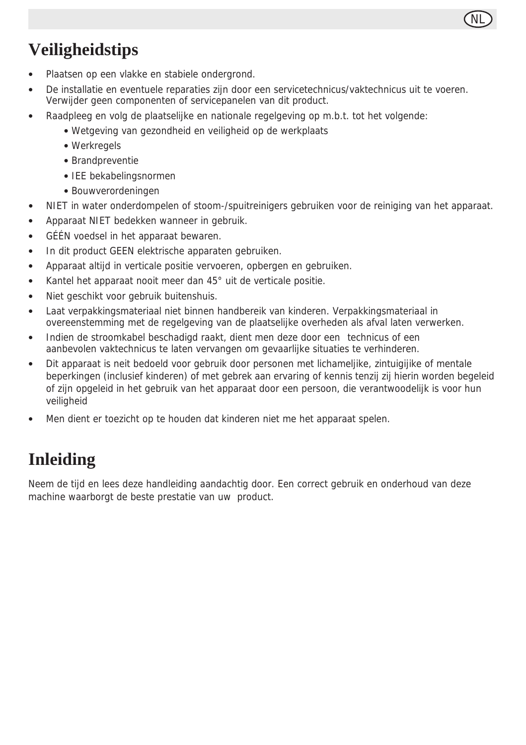

### **Veiligheidstips**

- Plaatsen op een vlakke en stabiele ondergrond.
- De installatie en eventuele reparaties zijn door een servicetechnicus/vaktechnicus uit te voeren. Verwijder geen componenten of servicepanelen van dit product.
- Raadpleeg en volg de plaatselijke en nationale regelgeving op m.b.t. tot het volgende:
	- Wetgeving van gezondheid en veiligheid op de werkplaats
	- Werkregels
	- Brandpreventie
	- IEE bekabelingsnormen
	- Bouwverordeningen
- NIET in water onderdompelen of stoom-/spuitreinigers gebruiken voor de reiniging van het apparaat.
- Apparaat NIET bedekken wanneer in gebruik.
- GÉÉN voedsel in het apparaat bewaren.
- In dit product GEEN elektrische apparaten gebruiken.
- Apparaat altijd in verticale positie vervoeren, opbergen en gebruiken.
- Kantel het apparaat nooit meer dan 45° uit de verticale positie.
- Niet geschikt voor gebruik buitenshuis.
- Laat verpakkingsmateriaal niet binnen handbereik van kinderen. Verpakkingsmateriaal in overeenstemming met de regelgeving van de plaatselijke overheden als afval laten verwerken.
- Indien de stroomkabel beschadigd raakt, dient men deze door een technicus of een aanbevolen vaktechnicus te laten vervangen om gevaarlijke situaties te verhinderen.
- Dit apparaat is neit bedoeld voor gebruik door personen met lichameljike, zintuigijike of mentale beperkingen (inclusief kinderen) of met gebrek aan ervaring of kennis tenzij zij hierin worden begeleid of zijn opgeleid in het gebruik van het apparaat door een persoon, die verantwoodelijk is voor hun veiligheid
- Men dient er toezicht op te houden dat kinderen niet me het apparaat spelen.

### **Inleiding**

Neem de tijd en lees deze handleiding aandachtig door. Een correct gebruik en onderhoud van deze machine waarborgt de beste prestatie van uw product.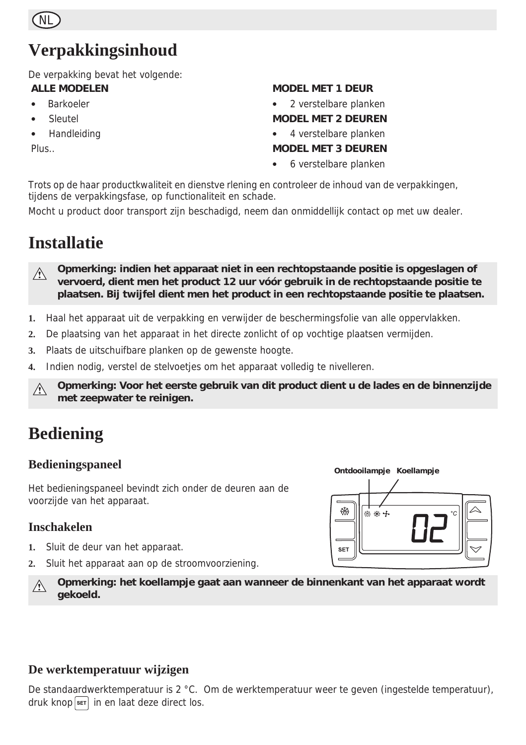

### **Verpakkingsinhoud**

De verpakking bevat het volgende:

#### **ALLE MODELEN**

- Barkoeler
- **Sleutel**
- Handleiding

Plus..

#### **MODEL MET 1 DEUR**

• 2 verstelbare planken

#### **MODEL MET 2 DEUREN**

• 4 verstelbare planken

#### **MODEL MET 3 DEUREN**

• 6 verstelbare planken

Trots op de haar productkwaliteit en dienstve rlening en controleer de inhoud van de verpakkingen, tijdens de verpakkingsfase, op functionaliteit en schade.

Mocht u product door transport zijn beschadigd, neem dan onmiddellijk contact op met uw dealer.

### **Installatie**

**Opmerking: indien het apparaat niet in een rechtopstaande positie is opgeslagen of**   $\bigwedge$ **vervoerd, dient men het product 12 uur vóór gebruik in de rechtopstaande positie te plaatsen. Bij twijfel dient men het product in een rechtopstaande positie te plaatsen.**

- **1.** Haal het apparaat uit de verpakking en verwijder de beschermingsfolie van alle oppervlakken.
- **2.** De plaatsing van het apparaat in het directe zonlicht of op vochtige plaatsen vermijden.
- **3.** Plaats de uitschuifbare planken op de gewenste hoogte.
- **4.** Indien nodig, verstel de stelvoetjes om het apparaat volledig te nivelleren.

**Opmerking: Voor het eerste gebruik van dit product dient u de lades en de binnenzijde**   $\wedge$ **met zeepwater te reinigen.** 

### **Bediening**

#### **Bedieningspaneel**

Het bedieningspaneel bevindt zich onder de deuren aan de voorzijde van het apparaat.

#### **Inschakelen**

- **1.** Sluit de deur van het apparaat.
- **2.** Sluit het apparaat aan op de stroomvoorziening.



**Opmerking: het koellampje gaat aan wanneer de binnenkant van het apparaat wordt**   $\wedge$ **gekoeld.** 

#### **De werktemperatuur wijzigen**

De standaardwerktemperatuur is 2 °C. Om de werktemperatuur weer te geven (ingestelde temperatuur), druk knop  $\overline{\text{ser}}$  in en laat deze direct los.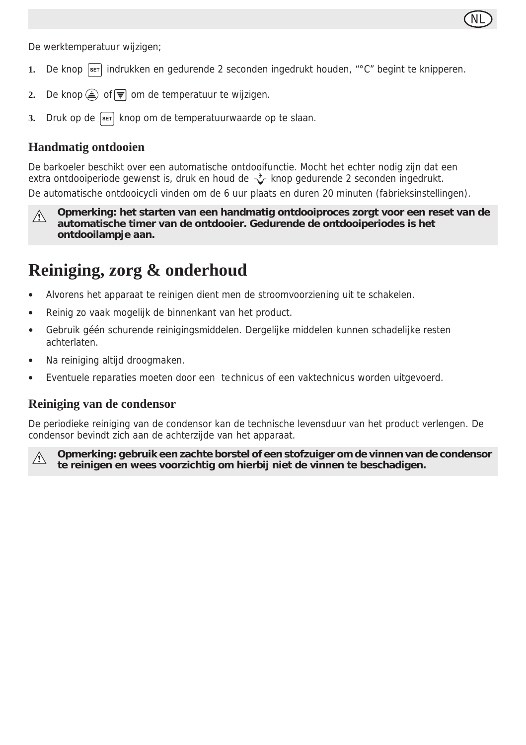

De werktemperatuur wijzigen;

- **1.** De knop indrukken en gedurende 2 seconden ingedrukt houden, "°C" begint te knipperen.
- **2.** De knop  $\widehat{\triangle}$  of  $\overline{\overline{z}}$  om de temperatuur te wijzigen.
- **3.** Druk op de s<sup>er</sup> knop om de temperatuurwaarde op te slaan.

#### **Handmatig ontdooien**

De barkoeler beschikt over een automatische ontdooifunctie. Mocht het echter nodig zijn dat een extra ontdooiperiode gewenst is, druk en houd de  $\sqrt{\ }$  knop gedurende 2 seconden ingedrukt. De automatische ontdooicycli vinden om de 6 uur plaats en duren 20 minuten (fabrieksinstellingen).

**Opmerking: het starten van een handmatig ontdooiproces zorgt voor een reset van de**   $\sqrt{2}$ **automatische timer van de ontdooier. Gedurende de ontdooiperiodes is het** 

**ontdooilampje aan.**

### **Reiniging, zorg & onderhoud**

- Alvorens het apparaat te reinigen dient men de stroomvoorziening uit te schakelen.
- Reinig zo vaak mogelijk de binnenkant van het product.
- Gebruik géén schurende reinigingsmiddelen. Dergelijke middelen kunnen schadelijke resten achterlaten.
- Na reiniging altijd droogmaken.
- Eventuele reparaties moeten door een technicus of een vaktechnicus worden uitgevoerd.

#### **Reiniging van de condensor**

De periodieke reiniging van de condensor kan de technische levensduur van het product verlengen. De condensor bevindt zich aan de achterzijde van het apparaat.



**Opmerking: gebruik een zachte borstel of een stofzuiger om de vinnen van de condensor te reinigen en wees voorzichtig om hierbij niet de vinnen te beschadigen.**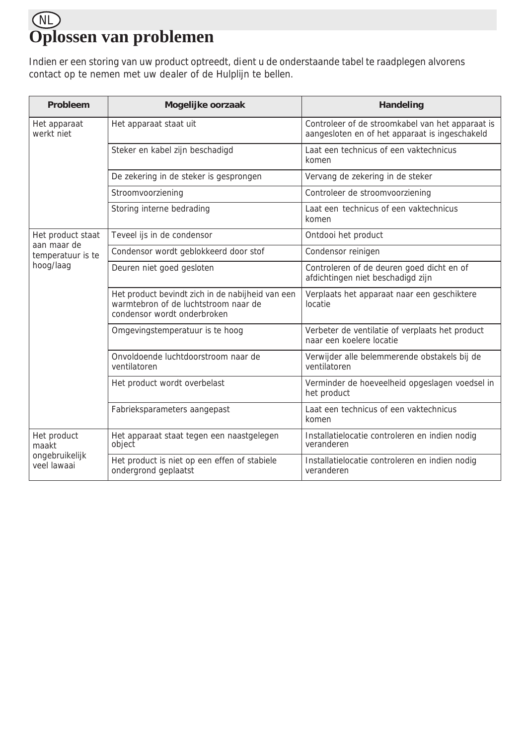### NL **Oplossen van problemen**

Indien er een storing van uw product optreedt, dient u de onderstaande tabel te raadplegen alvorens contact op te nemen met uw dealer of de Hulplijn te bellen.

| Probleem                         | Mogelijke oorzaak                                                                                                       | Handeling                                                                                          |  |
|----------------------------------|-------------------------------------------------------------------------------------------------------------------------|----------------------------------------------------------------------------------------------------|--|
| Het apparaat<br>werkt niet       | Het apparaat staat uit                                                                                                  | Controleer of de stroomkabel van het apparaat is<br>aangesloten en of het apparaat is ingeschakeld |  |
|                                  | Steker en kabel zijn beschadigd                                                                                         | Laat een technicus of een vaktechnicus<br>komen                                                    |  |
|                                  | De zekering in de steker is gesprongen                                                                                  | Vervang de zekering in de steker                                                                   |  |
|                                  | Stroomvoorziening                                                                                                       | Controleer de stroomvoorziening                                                                    |  |
|                                  | Storing interne bedrading                                                                                               | Laat een technicus of een vaktechnicus<br>komen                                                    |  |
| Het product staat                | Teveel ijs in de condensor                                                                                              | Ontdooi het product                                                                                |  |
| aan maar de<br>temperatuur is te | Condensor wordt geblokkeerd door stof                                                                                   | Condensor reinigen                                                                                 |  |
| hoog/laag                        | Deuren niet goed gesloten                                                                                               | Controleren of de deuren goed dicht en of<br>afdichtingen niet beschadigd zijn                     |  |
|                                  | Het product bevindt zich in de nabijheid van een<br>warmtebron of de luchtstroom naar de<br>condensor wordt onderbroken | Verplaats het apparaat naar een geschiktere<br>locatie                                             |  |
|                                  | Omgevingstemperatuur is te hoog                                                                                         | Verbeter de ventilatie of verplaats het product<br>naar een koelere locatie                        |  |
|                                  | Onvoldoende luchtdoorstroom naar de<br>ventilatoren                                                                     | Verwijder alle belemmerende obstakels bij de<br>ventilatoren                                       |  |
|                                  | Het product wordt overbelast                                                                                            | Verminder de hoeveelheid opgeslagen voedsel in<br>het product                                      |  |
|                                  | Fabrieksparameters aangepast                                                                                            | Laat een technicus of een vaktechnicus<br>komen                                                    |  |
| Het product<br>maakt             | Het apparaat staat tegen een naastgelegen<br>object                                                                     | Installatielocatie controleren en indien nodig<br>veranderen                                       |  |
| ongebruikelijk<br>veel lawaai    | Het product is niet op een effen of stabiele<br>ondergrond geplaatst                                                    | Installatielocatie controleren en indien nodig<br>veranderen                                       |  |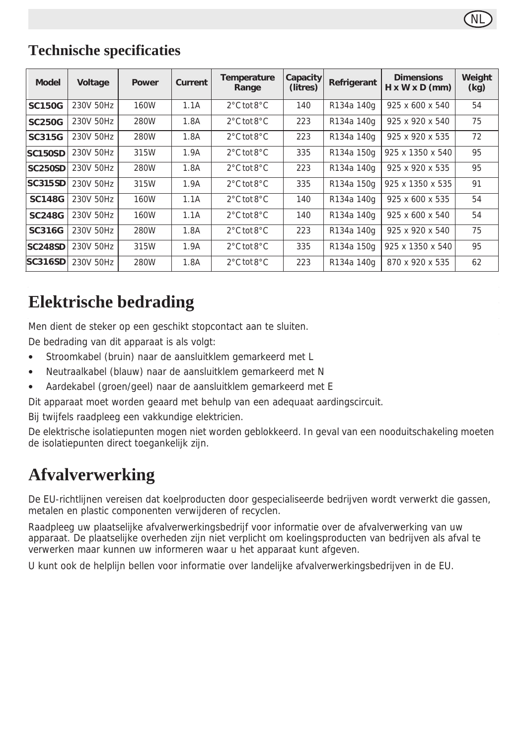### **Technische specificaties**

| <b>Model</b>   | Voltage   | Power | Current | Temperature<br>Range            | Capacity<br>(litres) | Refrigerant | <b>Dimensions</b><br>$H \times W \times D$ (mm) | Weight<br>(kg) |
|----------------|-----------|-------|---------|---------------------------------|----------------------|-------------|-------------------------------------------------|----------------|
| <b>SC150G</b>  | 230V 50Hz | 160W  | 1.1A    | $2^{\circ}$ C tot $8^{\circ}$ C | 140                  | R134a 140g  | 925 x 600 x 540                                 | 54             |
| <b>SC250G</b>  | 230V 50Hz | 280W  | 1.8A    | $2^{\circ}$ C tot $8^{\circ}$ C | 223                  | R134a 140g  | 925 x 920 x 540                                 | 75             |
| SC315G         | 230V 50Hz | 280W  | 1.8A    | $2^{\circ}$ C tot $8^{\circ}$ C | 223                  | R134a 140g  | 925 x 920 x 535                                 | 72             |
| <b>SC150SD</b> | 230V 50Hz | 315W  | 1.9A    | $2^{\circ}$ C tot $8^{\circ}$ C | 335                  | R134a 150g  | 925 x 1350 x 540                                | 95             |
| <b>SC250SD</b> | 230V 50Hz | 280W  | 1.8A    | $2^{\circ}$ C tot $8^{\circ}$ C | 223                  | R134a 140g  | 925 x 920 x 535                                 | 95             |
| <b>SC315SD</b> | 230V 50Hz | 315W  | 1.9A    | $2^{\circ}$ C tot $8^{\circ}$ C | 335                  | R134a 150g  | 925 x 1350 x 535                                | 91             |
| <b>SC148G</b>  | 230V 50Hz | 160W  | 1.1A    | $2^{\circ}$ C tot $8^{\circ}$ C | 140                  | R134a 140g  | 925 x 600 x 535                                 | 54             |
| <b>SC248G</b>  | 230V 50Hz | 160W  | 1.1A    | $2^{\circ}$ C tot $8^{\circ}$ C | 140                  | R134a 140g  | 925 x 600 x 540                                 | 54             |
| <b>SC316G</b>  | 230V 50Hz | 280W  | 1.8A    | $2^{\circ}$ C tot $8^{\circ}$ C | 223                  | R134a 140g  | 925 x 920 x 540                                 | 75             |
| <b>SC248SD</b> | 230V 50Hz | 315W  | 1.9A    | $2^{\circ}$ C tot $8^{\circ}$ C | 335                  | R134a 150g  | 925 x 1350 x 540                                | 95             |
| <b>SC316SD</b> | 230V 50Hz | 280W  | 1.8A    | $2^{\circ}$ C tot $8^{\circ}$ C | 223                  | R134a 140g  | 870 x 920 x 535                                 | 62             |

### **Elektrische bedrading**

Men dient de steker op een geschikt stopcontact aan te sluiten.

De bedrading van dit apparaat is als volgt:

- Stroomkabel (bruin) naar de aansluitklem gemarkeerd met L
- Neutraalkabel (blauw) naar de aansluitklem gemarkeerd met N
- Aardekabel (groen/geel) naar de aansluitklem gemarkeerd met E

Dit apparaat moet worden geaard met behulp van een adequaat aardingscircuit.

Bij twijfels raadpleeg een vakkundige elektricien.

De elektrische isolatiepunten mogen niet worden geblokkeerd. In geval van een nooduitschakeling moeten de isolatiepunten direct toegankelijk zijn.

### **Afvalverwerking**

De EU-richtlijnen vereisen dat koelproducten door gespecialiseerde bedrijven wordt verwerkt die gassen, metalen en plastic componenten verwijderen of recyclen.

Raadpleeg uw plaatselijke afvalverwerkingsbedrijf voor informatie over de afvalverwerking van uw apparaat. De plaatselijke overheden zijn niet verplicht om koelingsproducten van bedrijven als afval te verwerken maar kunnen uw informeren waar u het apparaat kunt afgeven.

U kunt ook de helplijn bellen voor informatie over landelijke afvalverwerkingsbedrijven in de EU.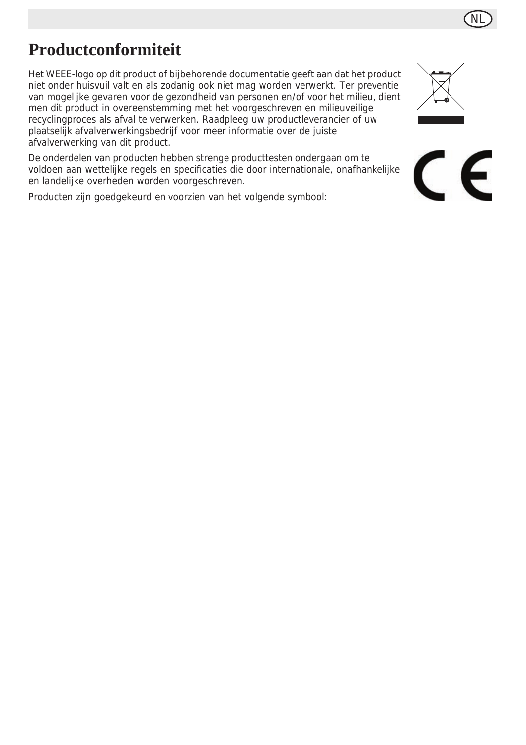### **Productconformiteit**

Het WEEE-logo op dit product of bijbehorende documentatie geeft aan dat het product niet onder huisvuil valt en als zodanig ook niet mag worden verwerkt. Ter preventie van mogelijke gevaren voor de gezondheid van personen en/of voor het milieu, dient men dit product in overeenstemming met het voorgeschreven en milieuveilige recyclingproces als afval te verwerken. Raadpleeg uw productleverancier of uw plaatselijk afvalverwerkingsbedrijf voor meer informatie over de juiste afvalverwerking van dit product.

De onderdelen van producten hebben strenge producttesten ondergaan om te voldoen aan wettelijke regels en specificaties die door internationale, onafhankelijke en landelijke overheden worden voorgeschreven.

Producten zijn goedgekeurd en voorzien van het volgende symbool:



 $\epsilon$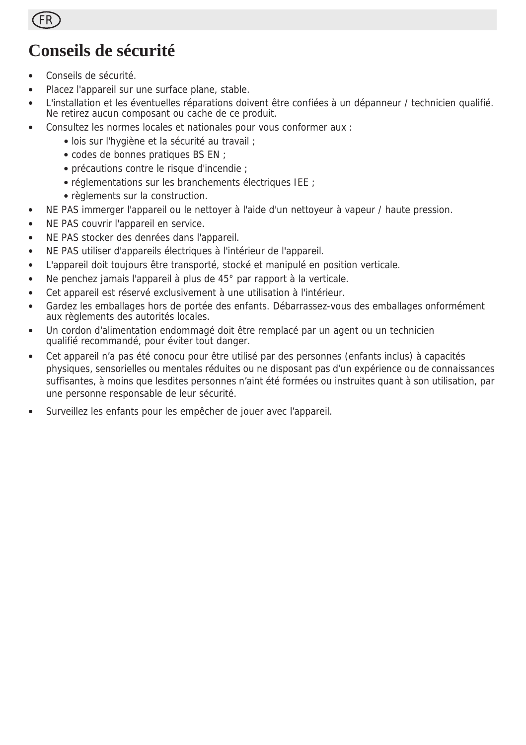

### **Conseils de sécurité**

- Conseils de sécurité.
- Placez l'appareil sur une surface plane, stable.
- L'installation et les éventuelles réparations doivent être confiées à un dépanneur / technicien qualifié. Ne retirez aucun composant ou cache de ce produit.
- Consultez les normes locales et nationales pour vous conformer aux :
	- lois sur l'hygiène et la sécurité au travail ;
	- codes de bonnes pratiques BS EN ;
	- précautions contre le risque d'incendie ;
	- réglementations sur les branchements électriques IEE ;
	- règlements sur la construction.
- NE PAS immerger l'appareil ou le nettoyer à l'aide d'un nettoyeur à vapeur / haute pression.
- NE PAS couvrir l'appareil en service.
- NE PAS stocker des denrées dans l'appareil.
- NE PAS utiliser d'appareils électriques à l'intérieur de l'appareil.
- L'appareil doit toujours être transporté, stocké et manipulé en position verticale.
- Ne penchez jamais l'appareil à plus de 45° par rapport à la verticale.
- Cet appareil est réservé exclusivement à une utilisation à l'intérieur.
- Gardez les emballages hors de portée des enfants. Débarrassez-vous des emballages onformément aux règlements des autorités locales.
- Un cordon d'alimentation endommagé doit être remplacé par un agent ou un technicien qualifié recommandé, pour éviter tout danger.
- Cet appareil n'a pas été conocu pour être utilisé par des personnes (enfants inclus) à capacités physiques, sensorielles ou mentales réduites ou ne disposant pas d'un expérience ou de connaissances suffisantes, à moins que lesdites personnes n'aint été formées ou instruites quant à son utilisation, par une personne responsable de leur sécurité.
- Surveillez les enfants pour les empêcher de jouer avec l'appareil.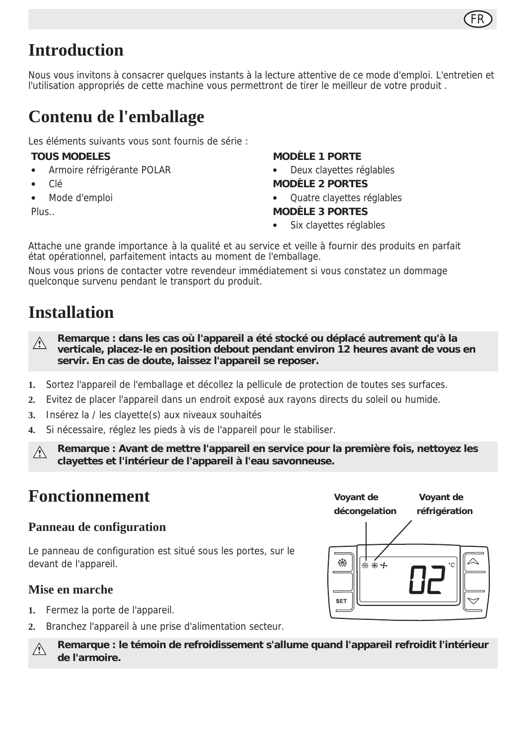

### **Introduction**

Nous vous invitons à consacrer quelques instants à la lecture attentive de ce mode d'emploi. L'entretien et l'utilisation appropriés de cette machine vous permettront de tirer le meilleur de votre produit .

### **Contenu de l'emballage**

Les éléments suivants vous sont fournis de série :

#### **TOUS MODELES**

- Armoire réfrigérante POLAR
- Clé
- Mode d'emploi
- Plus..

#### **MODÈLE 1 PORTE**

- Deux clayettes réglables
- **MODÈLE 2 PORTES**
- Quatre clayettes réglables **MODÈLE 3 PORTES**
- Six clavettes réglables

Attache une grande importance à la qualité et au service et veille à fournir des produits en parfait état opérationnel, parfaitement intacts au moment de l'emballage.

Nous vous prions de contacter votre revendeur immédiatement si vous constatez un dommage quelconque survenu pendant le transport du produit.

### **Installation**

**Remarque : dans les cas où l'appareil a été stocké ou déplacé autrement qu'à la**   $\wedge$ **verticale, placez-le en position debout pendant environ 12 heures avant de vous en servir. En cas de doute, laissez l'appareil se reposer.**

- **1.** Sortez l'appareil de l'emballage et décollez la pellicule de protection de toutes ses surfaces.
- **2.** Evitez de placer l'appareil dans un endroit exposé aux rayons directs du soleil ou humide.
- **3.** Insérez la / les clayette(s) aux niveaux souhaités
- **4.** Si nécessaire, réglez les pieds à vis de l'appareil pour le stabiliser.

**Remarque : Avant de mettre l'appareil en service pour la première fois, nettoyez les clayettes et l'intérieur de l'appareil à l'eau savonneuse.**

### **Fonctionnement**

#### **Panneau de configuration**

Le panneau de configuration est situé sous les portes, sur le devant de l'appareil.

#### **Mise en marche**

- **1.** Fermez la porte de l'appareil.
- **2.** Branchez l'appareil à une prise d'alimentation secteur.

₩ **SET** 

**Remarque : le témoin de refroidissement s'allume quand l'appareil refroidit l'intérieur**  A **de l'armoire.**

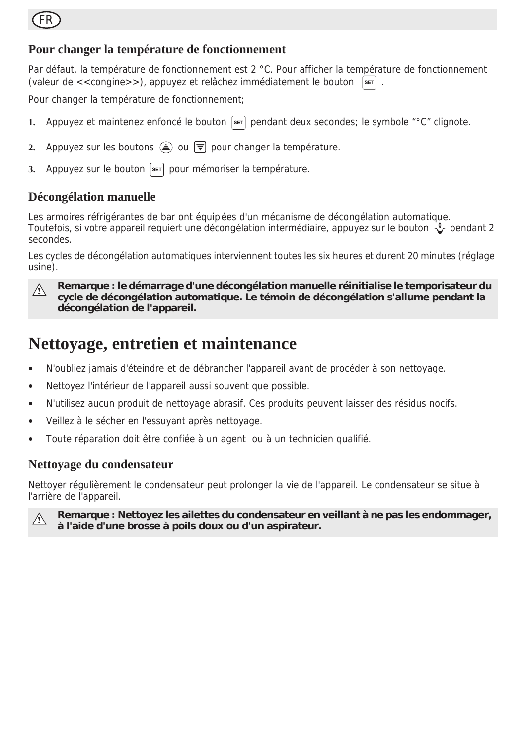### FR

#### **Pour changer la température de fonctionnement**

Par défaut, la température de fonctionnement est 2 °C. Pour afficher la température de fonctionnement (valeur de  $\lt$  congine  $\gt$ ), appuyez et relâchez immédiatement le bouton  $\lceil \frac{\sqrt{3}}{2} \rceil$ .

Pour changer la température de fonctionnement;

- **1.** Appuyez et maintenez enfoncé le bouton  $\overline{\text{ser}}$  pendant deux secondes; le symbole "°C" clignote.
- **2.** Appuyez sur les boutons  $\triangle$  ou  $\overline{F}$  pour changer la température.
- **3.** Appuyez sur le bouton set pour mémoriser la température.

#### **Décongélation manuelle**

Les armoires réfrigérantes de bar ont équipées d'un mécanisme de décongélation automatique. Toutefois, si votre appareil requiert une décongélation intermédiaire, appuyez sur le bouton  $\check{\mathcal{Z}}$  pendant 2 secondes.

Les cycles de décongélation automatiques interviennent toutes les six heures et durent 20 minutes (réglage usine).

 $\wedge$ 

**Remarque : le démarrage d'une décongélation manuelle réinitialise le temporisateur du cycle de décongélation automatique. Le témoin de décongélation s'allume pendant la décongélation de l'appareil.**

### **Nettoyage, entretien et maintenance**

- N'oubliez jamais d'éteindre et de débrancher l'appareil avant de procéder à son nettoyage.
- Nettoyez l'intérieur de l'appareil aussi souvent que possible.
- N'utilisez aucun produit de nettoyage abrasif. Ces produits peuvent laisser des résidus nocifs.
- Veillez à le sécher en l'essuyant après nettoyage.
- Toute réparation doit être confiée à un agent ou à un technicien qualifié.

#### **Nettoyage du condensateur**

Nettoyer régulièrement le condensateur peut prolonger la vie de l'appareil. Le condensateur se situe à l'arrière de l'appareil.



**Remarque : Nettoyez les ailettes du condensateur en veillant à ne pas les endommager, à l'aide d'une brosse à poils doux ou d'un aspirateur.**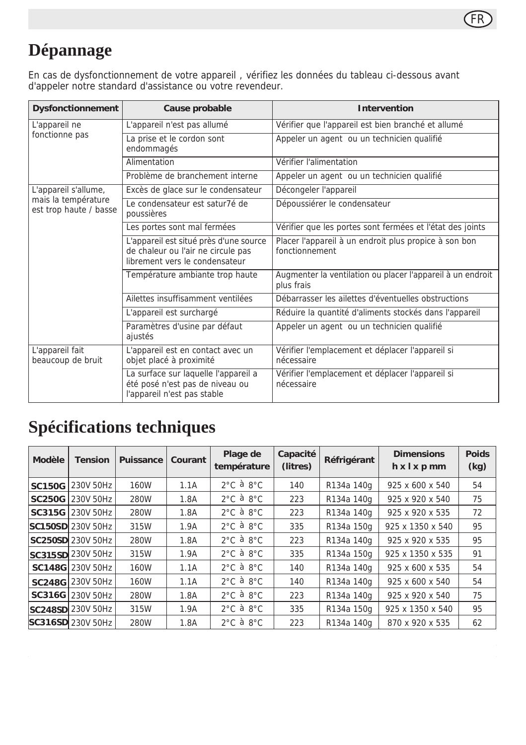

### **Dépannage**

En cas de dysfonctionnement de votre appareil , vérifiez les données du tableau ci-dessous avant d'appeler notre standard d'assistance ou votre revendeur.

| <b>Dysfonctionnement</b>                                              | Cause probable                                                                                                 | Intervention                                                             |  |  |
|-----------------------------------------------------------------------|----------------------------------------------------------------------------------------------------------------|--------------------------------------------------------------------------|--|--|
| L'appareil ne                                                         | L'appareil n'est pas allumé                                                                                    | Vérifier que l'appareil est bien branché et allumé                       |  |  |
| fonctionne pas                                                        | La prise et le cordon sont<br>endommagés                                                                       | Appeler un agent ou un technicien qualifié                               |  |  |
|                                                                       | Alimentation                                                                                                   | Vérifier l'alimentation                                                  |  |  |
|                                                                       | Problème de branchement interne                                                                                | Appeler un agent ou un technicien qualifié                               |  |  |
| L'appareil s'allume,<br>mais la température<br>est trop haute / basse | Excès de glace sur le condensateur                                                                             | Décongeler l'appareil                                                    |  |  |
|                                                                       | Le condensateur est satur7é de<br>poussières                                                                   | Dépoussiérer le condensateur                                             |  |  |
|                                                                       | Les portes sont mal fermées                                                                                    | Vérifier que les portes sont fermées et l'état des joints                |  |  |
|                                                                       | L'appareil est situé près d'une source<br>de chaleur ou l'air ne circule pas<br>librement vers le condensateur | Placer l'appareil à un endroit plus propice à son bon<br>fonctionnement  |  |  |
|                                                                       | Température ambiante trop haute                                                                                | Augmenter la ventilation ou placer l'appareil à un endroit<br>plus frais |  |  |
|                                                                       | Ailettes insuffisamment ventilées                                                                              | Débarrasser les ailettes d'éventuelles obstructions                      |  |  |
|                                                                       | L'appareil est surchargé                                                                                       | Réduire la quantité d'aliments stockés dans l'appareil                   |  |  |
|                                                                       | Paramètres d'usine par défaut<br>ajustés                                                                       | Appeler un agent ou un technicien qualifié                               |  |  |
| L'appareil fait<br>beaucoup de bruit                                  | L'appareil est en contact avec un<br>objet placé à proximité                                                   | Vérifier l'emplacement et déplacer l'appareil si<br>nécessaire           |  |  |
|                                                                       | La surface sur laquelle l'appareil a<br>été posé n'est pas de niveau ou<br>l'appareil n'est pas stable         | Vérifier l'emplacement et déplacer l'appareil si<br>nécessaire           |  |  |

### **Spécifications techniques**

| Modèle        | <b>Tension</b>            | Puissance | Courant | Plage de<br>température       | Capacité<br>(litres) | Réfrigérant | <b>Dimensions</b><br>hxlxpmm | <b>Poids</b><br>(kg) |
|---------------|---------------------------|-----------|---------|-------------------------------|----------------------|-------------|------------------------------|----------------------|
| <b>SC150G</b> | 230V 50Hz                 | 160W      | 1.1A    | $2^{\circ}$ C à $8^{\circ}$ C | 140                  | R134a 140g  | 925 x 600 x 540              | 54                   |
|               | SC250G 230V 50Hz          | 280W      | 1.8A    | $2^{\circ}$ C à $8^{\circ}$ C | 223                  | R134a 140g  | 925 x 920 x 540              | 75                   |
|               | SC315G 230V 50Hz          | 280W      | 1.8A    | $2^{\circ}$ C à $8^{\circ}$ C | 223                  | R134a 140g  | 925 x 920 x 535              | 72                   |
|               | <b>SC150SDI</b> 230V 50Hz | 315W      | 1.9A    | $2^{\circ}$ C à $8^{\circ}$ C | 335                  | R134a 150g  | 925 x 1350 x 540             | 95                   |
|               | SC250SD 230V 50Hz         | 280W      | 1.8A    | $2^{\circ}$ C à $8^{\circ}$ C | 223                  | R134a 140g  | 925 x 920 x 535              | 95                   |
|               | SC315SD 230V 50Hz         | 315W      | 1.9A    | $2^{\circ}$ C à $8^{\circ}$ C | 335                  | R134a 150g  | 925 x 1350 x 535             | 91                   |
|               | SC148G 230V 50Hz          | 160W      | 1.1A    | $2^{\circ}$ C à $8^{\circ}$ C | 140                  | R134a 140g  | 925 x 600 x 535              | 54                   |
|               | SC248G 230V 50Hz          | 160W      | 1.1A    | $2^{\circ}$ C à $8^{\circ}$ C | 140                  | R134a 140g  | 925 x 600 x 540              | 54                   |
|               | SC316G 230V 50Hz          | 280W      | 1.8A    | $2^{\circ}$ C à $8^{\circ}$ C | 223                  | R134a 140g  | 925 x 920 x 540              | 75                   |
|               | SC248SD 230V 50Hz         | 315W      | 1.9A    | $2^{\circ}$ C à $8^{\circ}$ C | 335                  | R134a 150g  | 925 x 1350 x 540             | 95                   |
|               | SC316SD 230V 50Hz         | 280W      | 1.8A    | $2^{\circ}$ C à $8^{\circ}$ C | 223                  | R134a 140g  | 870 x 920 x 535              | 62                   |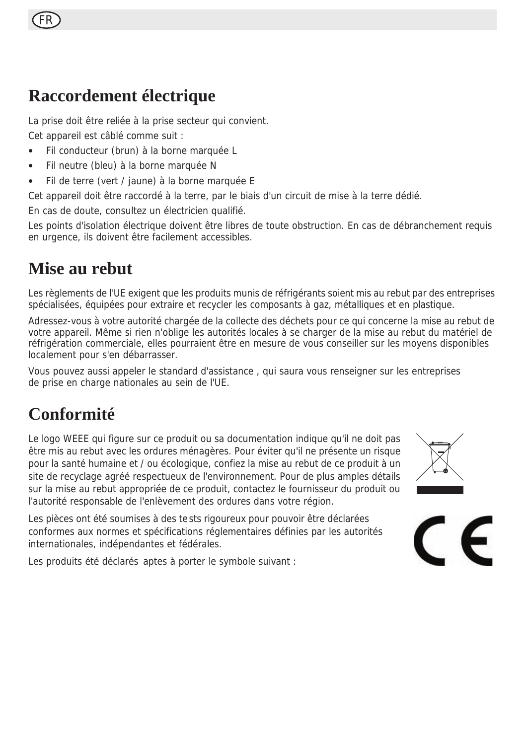### **Raccordement électrique**

La prise doit être reliée à la prise secteur qui convient. Cet appareil est câblé comme suit :

- Fil conducteur (brun) à la borne marquée L
- Fil neutre (bleu) à la borne marquée N
- Fil de terre (vert / jaune) à la borne marquée E

Cet appareil doit être raccordé à la terre, par le biais d'un circuit de mise à la terre dédié.

En cas de doute, consultez un électricien qualifié.

Les points d'isolation électrique doivent être libres de toute obstruction. En cas de débranchement requis en urgence, ils doivent être facilement accessibles.

### **Mise au rebut**

Les règlements de l'UE exigent que les produits munis de réfrigérants soient mis au rebut par des entreprises spécialisées, équipées pour extraire et recycler les composants à gaz, métalliques et en plastique.

Adressez-vous à votre autorité chargée de la collecte des déchets pour ce qui concerne la mise au rebut de votre appareil. Même si rien n'oblige les autorités locales à se charger de la mise au rebut du matériel de réfrigération commerciale, elles pourraient être en mesure de vous conseiller sur les moyens disponibles localement pour s'en débarrasser.

Vous pouvez aussi appeler le standard d'assistance , qui saura vous renseigner sur les entreprises de prise en charge nationales au sein de l'UE.

### **Conformité**

Le logo WEEE qui figure sur ce produit ou sa documentation indique qu'il ne doit pas être mis au rebut avec les ordures ménagères. Pour éviter qu'il ne présente un risque pour la santé humaine et / ou écologique, confiez la mise au rebut de ce produit à un site de recyclage agréé respectueux de l'environnement. Pour de plus amples détails sur la mise au rebut appropriée de ce produit, contactez le fournisseur du produit ou l'autorité responsable de l'enlèvement des ordures dans votre région.

Les pièces ont été soumises à des tests rigoureux pour pouvoir être déclarées conformes aux normes et spécifications réglementaires définies par les autorités internationales, indépendantes et fédérales.

Les produits été déclarés aptes à porter le symbole suivant :



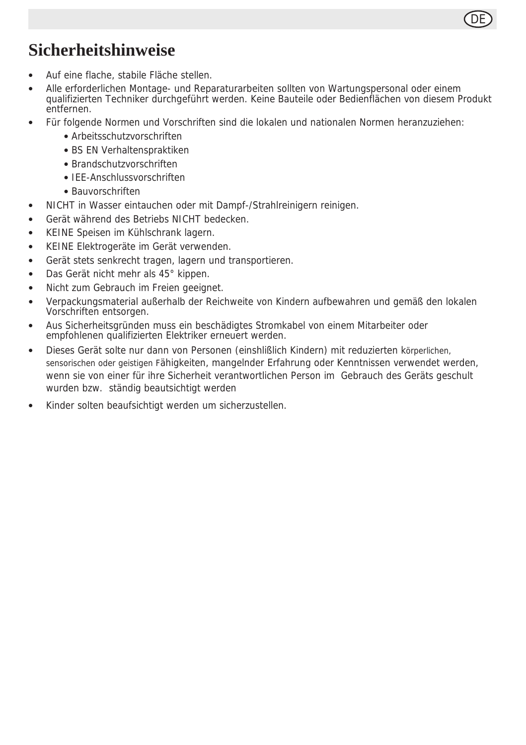### **Sicherheitshinweise**

- Auf eine flache, stabile Fläche stellen.
- Alle erforderlichen Montage- und Reparaturarbeiten sollten von Wartungspersonal oder einem qualifizierten Techniker durchgeführt werden. Keine Bauteile oder Bedienflächen von diesem Produkt entfernen.

DE

- Für folgende Normen und Vorschriften sind die lokalen und nationalen Normen heranzuziehen:
	- Arbeitsschutzvorschriften
	- BS EN Verhaltenspraktiken
	- Brandschutzvorschriften
	- IEE-Anschlussvorschriften
	- Bauvorschriften
- NICHT in Wasser eintauchen oder mit Dampf-/Strahlreinigern reinigen.
- Gerät während des Betriebs NICHT bedecken.
- KEINE Speisen im Kühlschrank lagern.
- KEINE Elektrogeräte im Gerät verwenden.
- Gerät stets senkrecht tragen, lagern und transportieren.
- Das Gerät nicht mehr als 45° kippen.
- Nicht zum Gebrauch im Freien geeignet.
- Verpackungsmaterial außerhalb der Reichweite von Kindern aufbewahren und gemäß den lokalen Vorschriften entsorgen.
- Aus Sicherheitsgründen muss ein beschädigtes Stromkabel von einem Mitarbeiter oder empfohlenen qualifizierten Elektriker erneuert werden.
- Dieses Gerät solte nur dann von Personen (einshlißlich Kindern) mit reduzierten körperlichen, sensorischen oder geistigen Fähigkeiten, mangelnder Erfahrung oder Kenntnissen verwendet werden, wenn sie von einer für ihre Sicherheit verantwortlichen Person im Gebrauch des Geräts geschult wurden bzw. ständig beautsichtigt werden
- Kinder solten beaufsichtigt werden um sicherzustellen.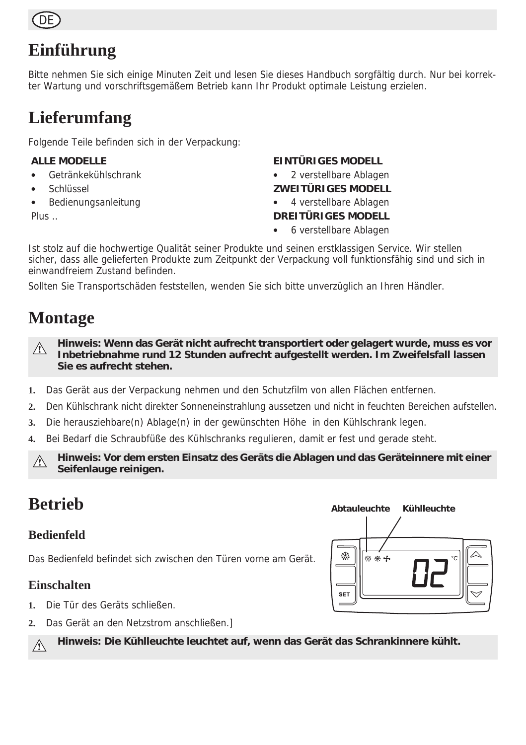

### **Einführung**

Bitte nehmen Sie sich einige Minuten Zeit und lesen Sie dieses Handbuch sorgfältig durch. Nur bei korrekter Wartung und vorschriftsgemäßem Betrieb kann Ihr Produkt optimale Leistung erzielen.

### **Lieferumfang**

Folgende Teile befinden sich in der Verpackung:

#### **ALLE MODELLE**

- Getränkekühlschrank
- Schlüssel
- Bedienungsanleitung

Plus ..

#### **EINTÜRIGES MODELL**

2 verstellbare Ablagen

#### **ZWEITÜRIGES MODELL**

- 4 verstellbare Ablagen **DREITÜRIGES MODELL**
- 6 verstellbare Ablagen

Ist stolz auf die hochwertige Qualität seiner Produkte und seinen erstklassigen Service. Wir stellen sicher, dass alle gelieferten Produkte zum Zeitpunkt der Verpackung voll funktionsfähig sind und sich in einwandfreiem Zustand befinden.

Sollten Sie Transportschäden feststellen, wenden Sie sich bitte unverzüglich an Ihren Händler.

### **Montage**

**Hinweis: Wenn das Gerät nicht aufrecht transportiert oder gelagert wurde, muss es vor**   $\wedge$ **Inbetriebnahme rund 12 Stunden aufrecht aufgestellt werden. Im Zweifelsfall lassen Sie es aufrecht stehen.**

- **1.** Das Gerät aus der Verpackung nehmen und den Schutzfilm von allen Flächen entfernen.
- **2.** Den Kühlschrank nicht direkter Sonneneinstrahlung aussetzen und nicht in feuchten Bereichen aufstellen.
- **3.** Die herausziehbare(n) Ablage(n) in der gewünschten Höhe in den Kühlschrank legen.
- **4.** Bei Bedarf die Schraubfüße des Kühlschranks regulieren, damit er fest und gerade steht.

**Hinweis: Vor dem ersten Einsatz des Geräts die Ablagen und das Geräteinnere mit einer**   $\triangle$ **Seifenlauge reinigen.**

### **Betrieb**

#### **Bedienfeld**

Das Bedienfeld befindet sich zwischen den Türen vorne am Gerät.

#### **Einschalten**

 $\bigwedge$ 

- **1.** Die Tür des Geräts schließen.
- **2.** Das Gerät an den Netzstrom anschließen.]

**Hinweis: Die Kühlleuchte leuchtet auf, wenn das Gerät das Schrankinnere kühlt.**

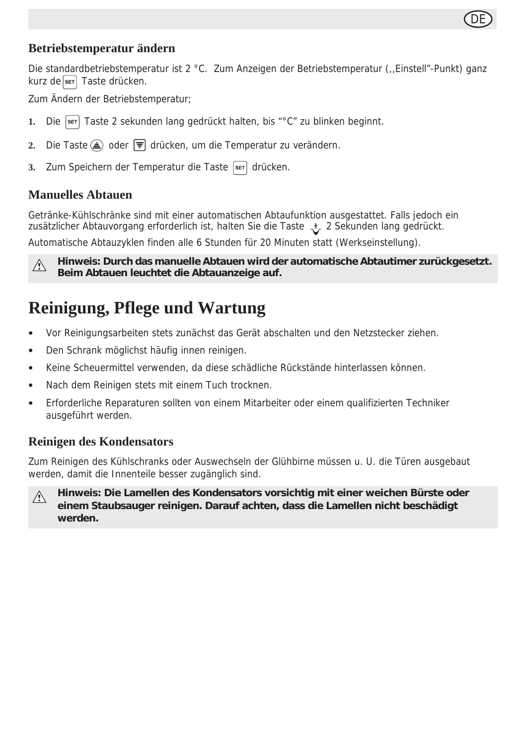

#### **Betriebstemperatur ändern**

Die standardbetriebstemperatur ist 2 °C. Zum Anzeigen der Betriebstemperatur (,,Einstell"-Punkt) ganz kurz de ser Taste drücken.

Zum Ändern der Betriebstemperatur;

- **1.** Die SET Taste 2 sekunden lang gedrückt halten, bis "°C" zu blinken beginnt.
- **2.** Die Taste oder drücken, um die Temperatur zu verändern.
- 3. Zum Speichern der Temperatur die Taste **SET** drücken.

#### **Manuelles Abtauen**

Getränke-Kühlschränke sind mit einer automatischen Abtaufunktion ausgestattet. Falls jedoch ein zusätzlicher Abtauvorgang erforderlich ist, halten Sie die Taste \_ \* 2 Sekunden lang gedrückt.

Automatische Abtauzyklen finden alle 6 Stunden für 20 Minuten statt (Werkseinstellung).

**Hinweis: Durch das manuelle Abtauen wird der automatische Abtautimer zurückgesetzt.**   $\triangle$ **Beim Abtauen leuchtet die Abtauanzeige auf.**

### **Reinigung, Pflege und Wartung**

- Vor Reinigungsarbeiten stets zunächst das Gerät abschalten und den Netzstecker ziehen.
- Den Schrank möglichst häufig innen reinigen.
- Keine Scheuermittel verwenden, da diese schädliche Rückstände hinterlassen können.
- Nach dem Reinigen stets mit einem Tuch trocknen.
- Erforderliche Reparaturen sollten von einem Mitarbeiter oder einem qualifizierten Techniker ausgeführt werden.

#### **Reinigen des Kondensators**

Zum Reinigen des Kühlschranks oder Auswechseln der Glühbirne müssen u. U. die Türen ausgebaut werden, damit die Innenteile besser zugänglich sind.

**Hinweis: Die Lamellen des Kondensators vorsichtig mit einer weichen Bürste oder**   $\triangle$ **einem Staubsauger reinigen. Darauf achten, dass die Lamellen nicht beschädigt werden.**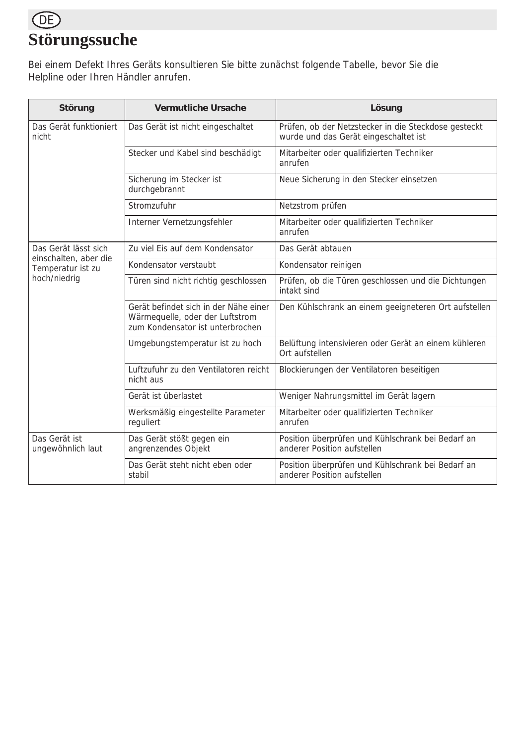### DE **Störungssuche**

Bei einem Defekt Ihres Geräts konsultieren Sie bitte zunächst folgende Tabelle, bevor Sie die Helpline oder Ihren Händler anrufen.

| Störung                                    | Vermutliche Ursache                                                                                          | Lösung                                                                                        |  |  |
|--------------------------------------------|--------------------------------------------------------------------------------------------------------------|-----------------------------------------------------------------------------------------------|--|--|
| Das Gerät funktioniert<br>nicht            | Das Gerät ist nicht eingeschaltet                                                                            | Prüfen, ob der Netzstecker in die Steckdose gesteckt<br>wurde und das Gerät eingeschaltet ist |  |  |
|                                            | Stecker und Kabel sind beschädigt                                                                            | Mitarbeiter oder qualifizierten Techniker<br>anrufen                                          |  |  |
|                                            | Sicherung im Stecker ist<br>durchgebrannt                                                                    | Neue Sicherung in den Stecker einsetzen                                                       |  |  |
|                                            | Stromzufuhr                                                                                                  | Netzstrom prüfen                                                                              |  |  |
|                                            | Interner Vernetzungsfehler                                                                                   | Mitarbeiter oder qualifizierten Techniker<br>anrufen                                          |  |  |
| Das Gerät lässt sich                       | Zu viel Eis auf dem Kondensator                                                                              | Das Gerät abtauen                                                                             |  |  |
| einschalten, aber die<br>Temperatur ist zu | Kondensator verstaubt                                                                                        | Kondensator reinigen                                                                          |  |  |
| hoch/niedrig                               | Türen sind nicht richtig geschlossen                                                                         | Prüfen, ob die Türen geschlossen und die Dichtungen<br>intakt sind                            |  |  |
|                                            | Gerät befindet sich in der Nähe einer<br>Wärmequelle, oder der Luftstrom<br>zum Kondensator ist unterbrochen | Den Kühlschrank an einem geeigneteren Ort aufstellen                                          |  |  |
|                                            | Umgebungstemperatur ist zu hoch                                                                              | Belüftung intensivieren oder Gerät an einem kühleren<br>Ort aufstellen                        |  |  |
|                                            | Luftzufuhr zu den Ventilatoren reicht<br>nicht aus                                                           | Blockierungen der Ventilatoren beseitigen                                                     |  |  |
|                                            | Gerät ist überlastet                                                                                         | Weniger Nahrungsmittel im Gerät lagern                                                        |  |  |
|                                            | Werksmäßig eingestellte Parameter<br>reguliert                                                               | Mitarbeiter oder qualifizierten Techniker<br>anrufen                                          |  |  |
| Das Gerät ist<br>ungewöhnlich laut         | Das Gerät stößt gegen ein<br>angrenzendes Objekt                                                             | Position überprüfen und Kühlschrank bei Bedarf an<br>anderer Position aufstellen              |  |  |
|                                            | Das Gerät steht nicht eben oder<br>stabil                                                                    | Position überprüfen und Kühlschrank bei Bedarf an<br>anderer Position aufstellen              |  |  |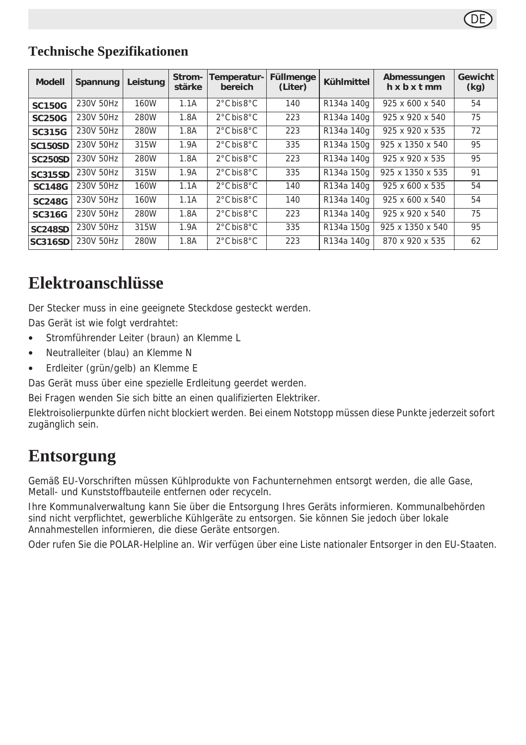#### **Technische Spezifikationen**

| <b>Modell</b>  | Spannung  | Leistung | Strom-<br>stärke | Temperatur- <br>bereich         | Füllmenge<br>(Liter) | <b>Kühlmittel</b> | Abmessungen<br>$h \times b \times t$ mm | Gewicht<br>(kg) |
|----------------|-----------|----------|------------------|---------------------------------|----------------------|-------------------|-----------------------------------------|-----------------|
| <b>SC150G</b>  | 230V 50Hz | 160W     | 1.1A             | $2^{\circ}$ C bis $8^{\circ}$ C | 140                  | R134a 140g        | 925 x 600 x 540                         | 54              |
| <b>SC250G</b>  | 230V 50Hz | 280W     | 1.8A             | $2^{\circ}$ C bis $8^{\circ}$ C | 223                  | R134a 140g        | 925 x 920 x 540                         | 75              |
| SC315G         | 230V 50Hz | 280W     | 1.8A             | $2^{\circ}$ C bis $8^{\circ}$ C | 223                  | R134a 140g        | 925 x 920 x 535                         | 72              |
| <b>SC150SD</b> | 230V 50Hz | 315W     | 1.9A             | $2^{\circ}$ C bis $8^{\circ}$ C | 335                  | R134a 150g        | 925 x 1350 x 540                        | 95              |
| <b>SC250SD</b> | 230V 50Hz | 280W     | 1.8A             | 2°C bis 8°C                     | 223                  | R134a 140g        | 925 x 920 x 535                         | 95              |
| <b>SC315SD</b> | 230V 50Hz | 315W     | 1.9A             | $2^{\circ}$ C bis $8^{\circ}$ C | 335                  | R134a 150a        | 925 x 1350 x 535                        | 91              |
| <b>SC148G</b>  | 230V 50Hz | 160W     | 1.1A             | $2^{\circ}$ C bis $8^{\circ}$ C | 140                  | R134a 140g        | $925 \times 600 \times 535$             | 54              |
| <b>SC248G</b>  | 230V 50Hz | 160W     | 1.1A             | $2^{\circ}$ C bis $8^{\circ}$ C | 140                  | R134a 140g        | 925 x 600 x 540                         | 54              |
| <b>SC316G</b>  | 230V 50Hz | 280W     | 1.8A             | 2°C bis 8°C                     | 223                  | R134a 140g        | 925 x 920 x 540                         | 75              |
| <b>SC248SD</b> | 230V 50Hz | 315W     | 1.9A             | 2°C bis 8°C                     | 335                  | R134a 150g        | 925 x 1350 x 540                        | 95              |
| <b>SC316SD</b> | 230V 50Hz | 280W     | 1.8A             | $2^{\circ}$ C bis $8^{\circ}$ C | 223                  | R134a 140g        | 870 x 920 x 535                         | 62              |

### **Elektroanschlüsse**

Der Stecker muss in eine geeignete Steckdose gesteckt werden.

Das Gerät ist wie folgt verdrahtet:

- Stromführender Leiter (braun) an Klemme L
- Neutralleiter (blau) an Klemme N
- Erdleiter (grün/gelb) an Klemme E

Das Gerät muss über eine spezielle Erdleitung geerdet werden.

Bei Fragen wenden Sie sich bitte an einen qualifizierten Elektriker.

Elektroisolierpunkte dürfen nicht blockiert werden. Bei einem Notstopp müssen diese Punkte jederzeit sofort zugänglich sein.

### **Entsorgung**

Gemäß EU-Vorschriften müssen Kühlprodukte von Fachunternehmen entsorgt werden, die alle Gase, Metall- und Kunststoffbauteile entfernen oder recyceln.

Ihre Kommunalverwaltung kann Sie über die Entsorgung Ihres Geräts informieren. Kommunalbehörden sind nicht verpflichtet, gewerbliche Kühlgeräte zu entsorgen. Sie können Sie jedoch über lokale Annahmestellen informieren, die diese Geräte entsorgen.

Oder rufen Sie die POLAR-Helpline an. Wir verfügen über eine Liste nationaler Entsorger in den EU-Staaten.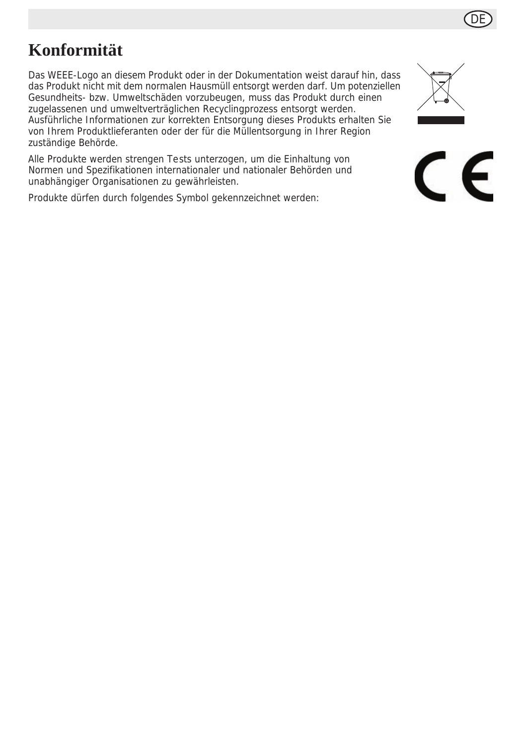### **Konformität**

Das WEEE-Logo an diesem Produkt oder in der Dokumentation weist darauf hin, dass das Produkt nicht mit dem normalen Hausmüll entsorgt werden darf. Um potenziellen Gesundheits- bzw. Umweltschäden vorzubeugen, muss das Produkt durch einen zugelassenen und umweltverträglichen Recyclingprozess entsorgt werden. Ausführliche Informationen zur korrekten Entsorgung dieses Produkts erhalten Sie von Ihrem Produktlieferanten oder der für die Müllentsorgung in Ihrer Region zuständige Behörde.

Alle Produkte werden strengen Tests unterzogen, um die Einhaltung von Normen und Spezifikationen internationaler und nationaler Behörden und unabhängiger Organisationen zu gewährleisten.

Produkte dürfen durch folgendes Symbol gekennzeichnet werden:



DE

 $\epsilon$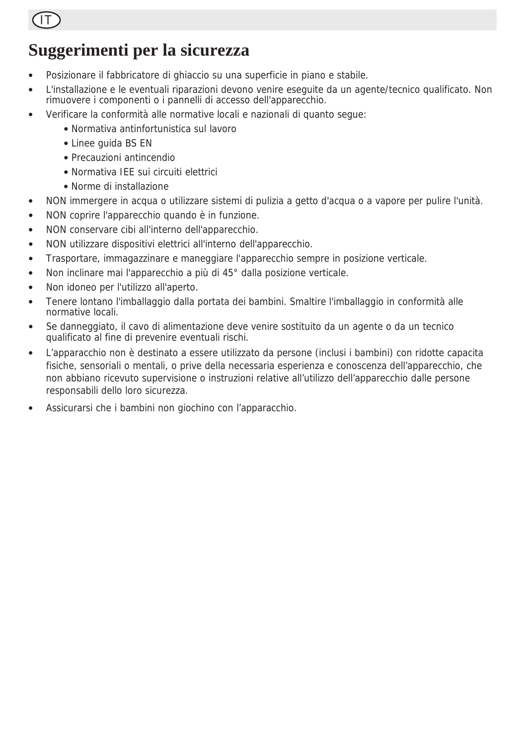

### **Suggerimenti per la sicurezza**

- Posizionare il fabbricatore di ghiaccio su una superficie in piano e stabile.
- L'installazione e le eventuali riparazioni devono venire eseguite da un agente/tecnico qualificato. Non rimuovere i componenti o i pannelli di accesso dell'apparecchio.
- Verificare la conformità alle normative locali e nazionali di quanto segue:
	- Normativa antinfortunistica sul lavoro
	- Linee guida BS EN
	- Precauzioni antincendio
	- Normativa IEE sui circuiti elettrici
	- Norme di installazione
- NON immergere in acqua o utilizzare sistemi di pulizia a getto d'acqua o a vapore per pulire l'unità.
- NON coprire l'apparecchio quando è in funzione.
- NON conservare cibi all'interno dell'apparecchio.
- NON utilizzare dispositivi elettrici all'interno dell'apparecchio.
- Trasportare, immagazzinare e maneggiare l'apparecchio sempre in posizione verticale.
- Non inclinare mai l'apparecchio a più di 45° dalla posizione verticale.
- Non idoneo per l'utilizzo all'aperto.
- Tenere lontano l'imballaggio dalla portata dei bambini. Smaltire l'imballaggio in conformità alle normative locali.
- Se danneggiato, il cavo di alimentazione deve venire sostituito da un agente o da un tecnico qualificato al fine di prevenire eventuali rischi.
- L'apparacchio non è destinato a essere utilizzato da persone (inclusi i bambini) con ridotte capacita fisiche, sensoriali o mentali, o prive della necessaria esperienza e conoscenza dell'apparecchio, che non abbiano ricevuto supervisione o instruzioni relative all'utilizzo dell'apparecchio dalle persone responsabili dello loro sicurezza.
- Assicurarsi che i bambini non giochino con l'apparacchio.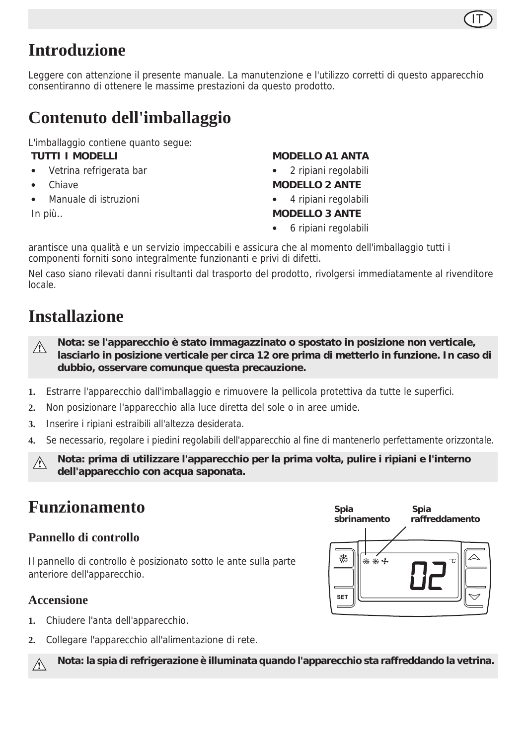### **Introduzione**

Leggere con attenzione il presente manuale. La manutenzione e l'utilizzo corretti di questo apparecchio consentiranno di ottenere le massime prestazioni da questo prodotto.

### **Contenuto dell'imballaggio**

L'imballaggio contiene quanto segue: **TUTTI I MODELLI**

- Vetrina refrigerata bar
- Chiave
- Manuale di istruzioni

In più..

#### **MODELLO A1 ANTA**

- 2 ripiani regolabili
- **MODELLO 2 ANTE**
- 4 ripiani regolabili
- **MODELLO 3 ANTE**
- 6 ripiani regolabili

arantisce una qualità e un servizio impeccabili e assicura che al momento dell'imballaggio tutti i componenti forniti sono integralmente funzionanti e privi di difetti.

Nel caso siano rilevati danni risultanti dal trasporto del prodotto, rivolgersi immediatamente al rivenditore locale.

### **Installazione**

- **Nota: se l'apparecchio è stato immagazzinato o spostato in posizione non verticale,**   $\wedge$ **lasciarlo in posizione verticale per circa 12 ore prima di metterlo in funzione. In caso di dubbio, osservare comunque questa precauzione.**
- **1.** Estrarre l'apparecchio dall'imballaggio e rimuovere la pellicola protettiva da tutte le superfici.
- **2.** Non posizionare l'apparecchio alla luce diretta del sole o in aree umide.
- **3.** Inserire i ripiani estraibili all'altezza desiderata.
- **4.** Se necessario, regolare i piedini regolabili dell'apparecchio al fine di mantenerlo perfettamente orizzontale.

**Nota: prima di utilizzare l'apparecchio per la prima volta, pulire i ripiani e l'interno dell'apparecchio con acqua saponata.**

### **Funzionamento**

#### **Pannello di controllo**

Il pannello di controllo è posizionato sotto le ante sulla parte anteriore dell'apparecchio.

#### **Accensione**

Λ

- **1.** Chiudere l'anta dell'apparecchio.
- **2.** Collegare l'apparecchio all'alimentazione di rete.

**Nota: la spia di refrigerazione è illuminata quando l'apparecchio sta raffreddando la vetrina.**



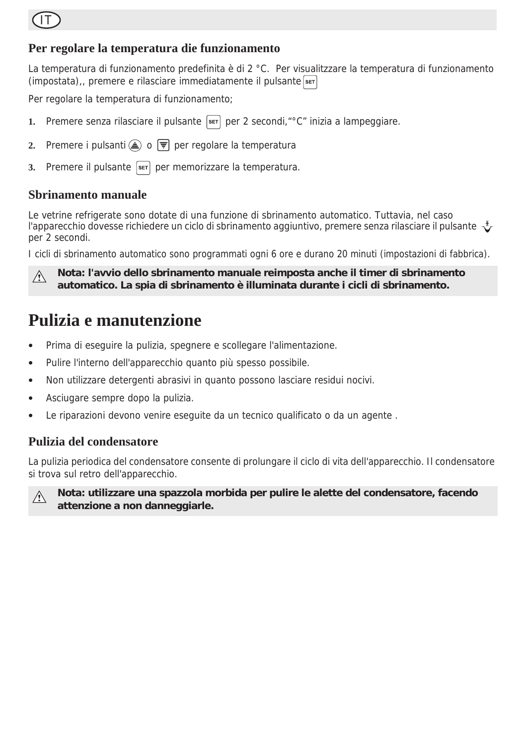

#### **Per regolare la temperatura die funzionamento**

La temperatura di funzionamento predefinita è di 2 °C. Per visualitzzare la temperatura di funzionamento  $($ impostata $)$ ,, premere e rilasciare immediatamente il pulsante  $s$ <sub>ET</sub>

Per regolare la temperatura di funzionamento;

- **1.** Premere senza rilasciare il pulsante  $\left[\frac{1}{n}\right]$  per 2 secondi," °C" inizia a lampeggiare.
- **2.** Premere i pulsanti  $\triangle$  o  $\overline{F}$  per regolare la temperatura
- **3.** Premere il pulsante s<sup>er</sup> per memorizzare la temperatura.

#### **Sbrinamento manuale**

Le vetrine refrigerate sono dotate di una funzione di sbrinamento automatico. Tuttavia, nel caso l'apparecchio dovesse richiedere un ciclo di sbrinamento aggiuntivo, premere senza rilasciare il pulsante per 2 secondi.

I cicli di sbrinamento automatico sono programmati ogni 6 ore e durano 20 minuti (impostazioni di fabbrica).

**Nota: l'avvio dello sbrinamento manuale reimposta anche il timer di sbrinamento**   $\wedge$ **automatico. La spia di sbrinamento è illuminata durante i cicli di sbrinamento.**

### **Pulizia e manutenzione**

- Prima di eseguire la pulizia, spegnere e scollegare l'alimentazione.
- Pulire l'interno dell'apparecchio quanto più spesso possibile.
- Non utilizzare detergenti abrasivi in quanto possono lasciare residui nocivi.
- Asciugare sempre dopo la pulizia.
- Le riparazioni devono venire eseguite da un tecnico qualificato o da un agente .

#### **Pulizia del condensatore**

La pulizia periodica del condensatore consente di prolungare il ciclo di vita dell'apparecchio. Il condensatore si trova sul retro dell'apparecchio.

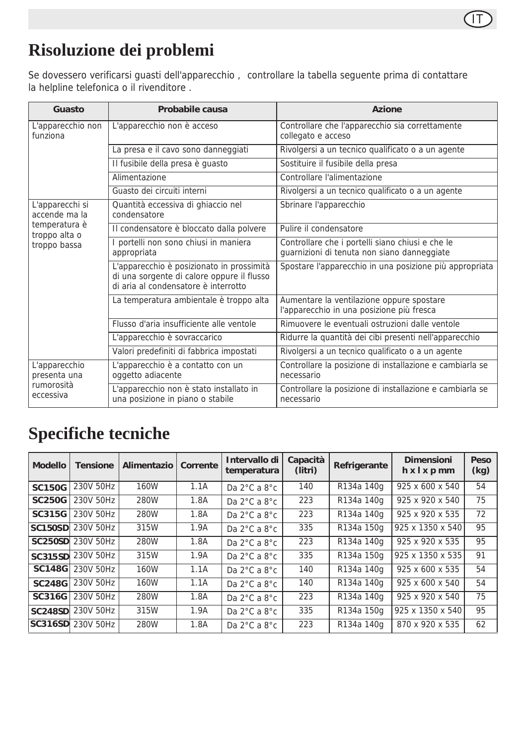

### **Risoluzione dei problemi**

Se dovessero verificarsi guasti dell'apparecchio , controllare la tabella seguente prima di contattare la helpline telefonica o il rivenditore .

| Guasto                                         | Probabile causa                                                                                                                 | Azione                                                                                          |  |  |
|------------------------------------------------|---------------------------------------------------------------------------------------------------------------------------------|-------------------------------------------------------------------------------------------------|--|--|
| L'apparecchio non<br>funziona                  | L'apparecchio non è acceso                                                                                                      | Controllare che l'apparecchio sia correttamente<br>collegato e acceso                           |  |  |
|                                                | La presa e il cavo sono danneggiati                                                                                             | Rivolgersi a un tecnico qualificato o a un agente                                               |  |  |
|                                                | Il fusibile della presa è guasto                                                                                                | Sostituire il fusibile della presa                                                              |  |  |
|                                                | Alimentazione                                                                                                                   | Controllare l'alimentazione                                                                     |  |  |
|                                                | Guasto dei circuiti interni                                                                                                     | Rivolgersi a un tecnico qualificato o a un agente                                               |  |  |
| L'apparecchi si<br>accende ma la               | Quantità eccessiva di ghiaccio nel<br>condensatore                                                                              | Sbrinare l'apparecchio                                                                          |  |  |
| temperatura è<br>troppo alta o<br>troppo bassa | Il condensatore è bloccato dalla polvere                                                                                        | Pulire il condensatore                                                                          |  |  |
|                                                | I portelli non sono chiusi in maniera<br>appropriata                                                                            | Controllare che i portelli siano chiusi e che le<br>guarnizioni di tenuta non siano danneggiate |  |  |
|                                                | L'apparecchio è posizionato in prossimità<br>di una sorgente di calore oppure il flusso<br>di aria al condensatore è interrotto | Spostare l'apparecchio in una posizione più appropriata                                         |  |  |
|                                                | La temperatura ambientale è troppo alta                                                                                         | Aumentare la ventilazione oppure spostare<br>l'apparecchio in una posizione più fresca          |  |  |
|                                                | Flusso d'aria insufficiente alle ventole                                                                                        | Rimuovere le eventuali ostruzioni dalle ventole                                                 |  |  |
|                                                | L'apparecchio è sovraccarico                                                                                                    | Ridurre la quantità dei cibi presenti nell'apparecchio                                          |  |  |
|                                                | Valori predefiniti di fabbrica impostati                                                                                        | Rivolgersi a un tecnico qualificato o a un agente                                               |  |  |
| L'apparecchio<br>presenta una                  | L'apparecchio è a contatto con un<br>oggetto adiacente                                                                          | Controllare la posizione di installazione e cambiarla se<br>necessario                          |  |  |
| rumorosità<br>eccessiva                        | L'apparecchio non è stato installato in<br>una posizione in piano o stabile                                                     | Controllare la posizione di installazione e cambiarla se<br>necessario                          |  |  |

### **Specifiche tecniche**

| <b>Modello</b> | <b>Tensione</b>          | <b>Alimentazio</b> | Corrente | Intervallo di<br>temperatura     | Capacità<br>(litri) | Refrigerante | <b>Dimensioni</b><br>$h \times l \times p$ mm | Peso<br>(kg) |
|----------------|--------------------------|--------------------|----------|----------------------------------|---------------------|--------------|-----------------------------------------------|--------------|
| <b>SC150G</b>  | 230V 50Hz                | 160W               | 1.1A     | Da $2^{\circ}$ C a $8^{\circ}$ c | 140                 | R134a 140g   | 925 x 600 x 540                               | 54           |
| <b>SC250G</b>  | 230V 50Hz                | 280W               | 1.8A     | Da 2°C a 8°c                     | 223                 | R134a 140g   | 925 x 920 x 540                               | 75           |
| SC315G         | 230V 50Hz                | 280W               | 1.8A     | Da $2^{\circ}$ C a $8^{\circ}$ c | 223                 | R134a 140g   | 925 x 920 x 535                               | 72           |
|                | <b>SC150SD</b> 230V 50Hz | 315W               | 1.9A     | Da $2^{\circ}$ C a $8^{\circ}$ c | 335                 | R134a 150g   | 925 x 1350 x 540                              | 95           |
|                | <b>SC250SD</b> 230V 50Hz | 280W               | 1.8A     | Da $2^{\circ}$ C a $8^{\circ}$ c | 223                 | R134a 140g   | 925 x 920 x 535                               | 95           |
|                | SC315SD 230V 50Hz        | 315W               | 1.9A     | Da $2^{\circ}$ C a $8^{\circ}$ c | 335                 | R134a 150g   | 925 x 1350 x 535                              | 91           |
|                | <b>SC148G 230V 50Hz</b>  | 160W               | 1.1A     | Da $2^{\circ}$ C a $8^{\circ}$ c | 140                 | R134a 140g   | $925 \times 600 \times 535$                   | 54           |
| <b>SC248G</b>  | 230V 50Hz                | 160W               | 1.1A     | Da $2^{\circ}$ C a $8^{\circ}$ c | 140                 | R134a 140g   | 925 x 600 x 540                               | 54           |
| <b>SC316G</b>  | 230V 50Hz                | 280W               | 1.8A     | Da $2^{\circ}$ C a $8^{\circ}$ c | 223                 | R134a 140g   | 925 x 920 x 540                               | 75           |
|                | SC248SD 230V 50Hz        | 315W               | 1.9A     | Da $2^{\circ}$ C a $8^{\circ}$ c | 335                 | R134a 150g   | 925 x 1350 x 540                              | 95           |
|                | SC316SD 230V 50Hz        | 280W               | 1.8A     | Da $2^{\circ}$ C a $8^{\circ}$ c | 223                 | R134a 140g   | 870 x 920 x 535                               | 62           |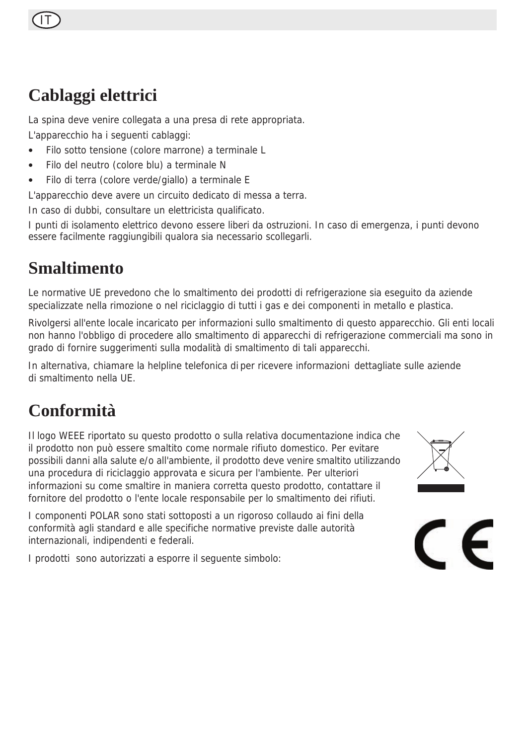### **Cablaggi elettrici**

La spina deve venire collegata a una presa di rete appropriata.

L'apparecchio ha i seguenti cablaggi:

- Filo sotto tensione (colore marrone) a terminale L
- Filo del neutro (colore blu) a terminale N
- Filo di terra (colore verde/giallo) a terminale E

L'apparecchio deve avere un circuito dedicato di messa a terra.

In caso di dubbi, consultare un elettricista qualificato.

I punti di isolamento elettrico devono essere liberi da ostruzioni. In caso di emergenza, i punti devono essere facilmente raggiungibili qualora sia necessario scollegarli.

### **Smaltimento**

Le normative UE prevedono che lo smaltimento dei prodotti di refrigerazione sia eseguito da aziende specializzate nella rimozione o nel riciclaggio di tutti i gas e dei componenti in metallo e plastica.

Rivolgersi all'ente locale incaricato per informazioni sullo smaltimento di questo apparecchio. Gli enti locali non hanno l'obbligo di procedere allo smaltimento di apparecchi di refrigerazione commerciali ma sono in grado di fornire suggerimenti sulla modalità di smaltimento di tali apparecchi.

In alternativa, chiamare la helpline telefonica di per ricevere informazioni dettagliate sulle aziende di smaltimento nella UE.

### **Conformità**

Il logo WEEE riportato su questo prodotto o sulla relativa documentazione indica che il prodotto non può essere smaltito come normale rifiuto domestico. Per evitare possibili danni alla salute e/o all'ambiente, il prodotto deve venire smaltito utilizzando una procedura di riciclaggio approvata e sicura per l'ambiente. Per ulteriori informazioni su come smaltire in maniera corretta questo prodotto, contattare il fornitore del prodotto o l'ente locale responsabile per lo smaltimento dei rifiuti.

I componenti POLAR sono stati sottoposti a un rigoroso collaudo ai fini della conformità agli standard e alle specifiche normative previste dalle autorità internazionali, indipendenti e federali.

I prodotti sono autorizzati a esporre il seguente simbolo:



 $\epsilon$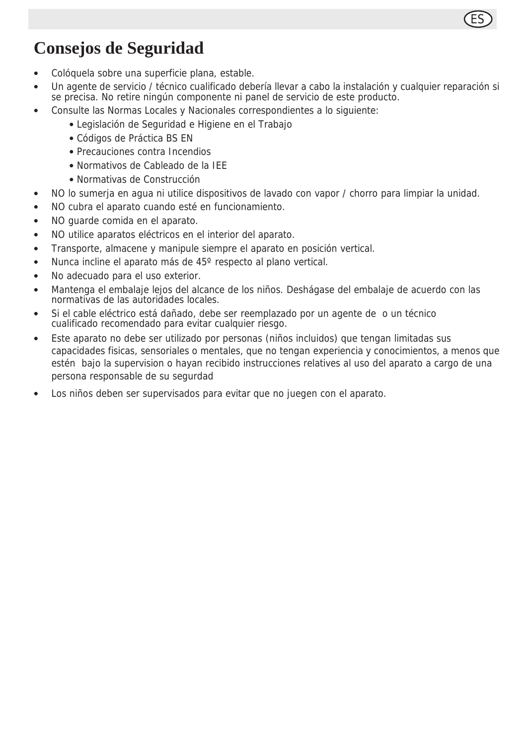

### **Consejos de Seguridad**

- Colóquela sobre una superficie plana, estable.
- Un agente de servicio / técnico cualificado debería llevar a cabo la instalación y cualquier reparación si se precisa. No retire ningún componente ni panel de servicio de este producto.
- Consulte las Normas Locales y Nacionales correspondientes a lo siguiente:
	- Legislación de Seguridad e Higiene en el Trabajo
	- Códigos de Práctica BS EN
	- Precauciones contra Incendios
	- Normativos de Cableado de la IEE
	- Normativas de Construcción
- NO lo sumerja en agua ni utilice dispositivos de lavado con vapor / chorro para limpiar la unidad.
- NO cubra el aparato cuando esté en funcionamiento.
- NO guarde comida en el aparato.
- NO utilice aparatos eléctricos en el interior del aparato.
- Transporte, almacene y manipule siempre el aparato en posición vertical.
- Nunca incline el aparato más de 45º respecto al plano vertical.
- No adecuado para el uso exterior.
- Mantenga el embalaje lejos del alcance de los niños. Deshágase del embalaje de acuerdo con las normativas de las autoridades locales.
- Si el cable eléctrico está dañado, debe ser reemplazado por un agente de o un técnico cualificado recomendado para evitar cualquier riesgo.
- Este aparato no debe ser utilizado por personas (niños incluidos) que tengan limitadas sus capacidades fisicas, sensoriales o mentales, que no tengan experiencia y conocimientos, a menos que estén bajo la supervision o hayan recibido instrucciones relatives al uso del aparato a cargo de una persona responsable de su segurdad
- Los niños deben ser supervisados para evitar que no juegen con el aparato.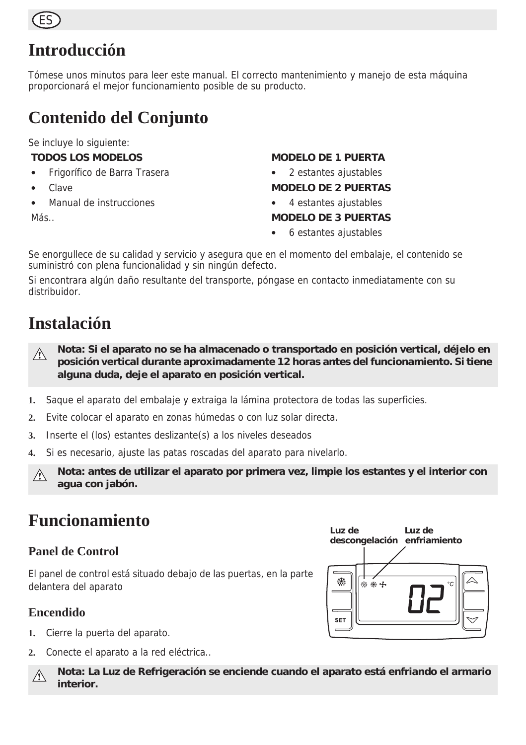

### **Introducción**

Tómese unos minutos para leer este manual. El correcto mantenimiento y manejo de esta máquina proporcionará el mejor funcionamiento posible de su producto.

### **Contenido del Conjunto**

Se incluye lo siguiente:

#### **TODOS LOS MODELOS**

- Frigorífico de Barra Trasera
- Clave
- Manual de instrucciones
- Más..

#### **MODELO DE 1 PUERTA**

• 2 estantes ajustables

#### **MODELO DE 2 PUERTAS**

• 4 estantes ajustables

#### **MODELO DE 3 PUERTAS**

• 6 estantes ajustables

Se enorgullece de su calidad y servicio y asegura que en el momento del embalaje, el contenido se suministró con plena funcionalidad y sin ningún defecto.

Si encontrara algún daño resultante del transporte, póngase en contacto inmediatamente con su distribuidor.

### **Instalación**

- **Nota: Si el aparato no se ha almacenado o transportado en posición vertical, déjelo en**   $\bigwedge$ **posición vertical durante aproximadamente 12 horas antes del funcionamiento. Si tiene alguna duda, deje el aparato en posición vertical.**
- **1.** Saque el aparato del embalaje y extraiga la lámina protectora de todas las superficies.
- **2.** Evite colocar el aparato en zonas húmedas o con luz solar directa.
- **3.** Inserte el (los) estantes deslizante(s) a los niveles deseados
- **4.** Si es necesario, ajuste las patas roscadas del aparato para nivelarlo.
- **Nota: antes de utilizar el aparato por primera vez, limpie los estantes y el interior con**   $\triangle$ **agua con jabón.**

### **Funcionamiento**

#### **Panel de Control**

El panel de control está situado debajo de las puertas, en la parte delantera del aparato

### **Encendido**

- **1.** Cierre la puerta del aparato.
- **2.** Conecte el aparato a la red eléctrica..

**Nota: La Luz de Refrigeración se enciende cuando el aparato está enfriando el armario** A. **interior.**

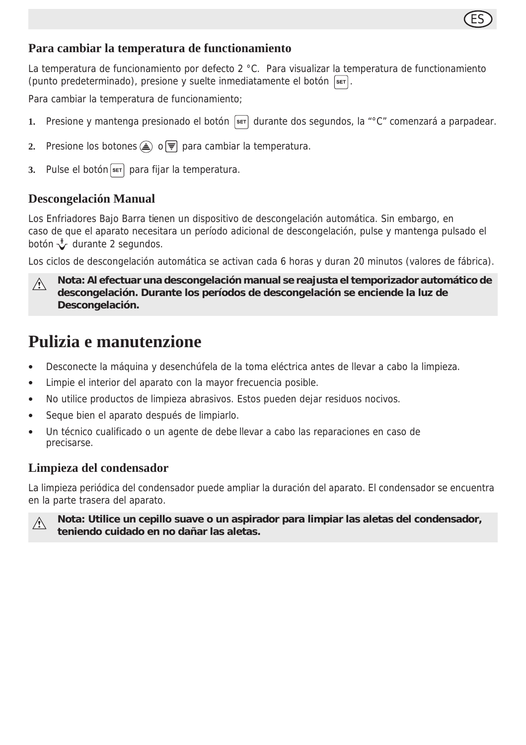### ES

#### **Para cambiar la temperatura de functionamiento**

La temperatura de funcionamiento por defecto 2 °C. Para visualizar la temperatura de functionamiento (punto predeterminado), presione y suelte inmediatamente el botón  $\sqrt{\text{ser}}$ .

Para cambiar la temperatura de funcionamiento;

- 1. Presione y mantenga presionado el botón **ser** durante dos segundos, la "°C" comenzará a parpadear.
- **2.** Presione los botones  $\textcircled{A}$  o  $\overline{\overline{y}}$  para cambiar la temperatura.
- 3. Pulse el botón s<sub>er</sub> para fijar la temperatura.

#### **Descongelación Manual**

Los Enfriadores Bajo Barra tienen un dispositivo de descongelación automática. Sin embargo, en caso de que el aparato necesitara un período adicional de descongelación, pulse y mantenga pulsado el botón  $\sqrt{\ }$  durante 2 segundos.

Los ciclos de descongelación automática se activan cada 6 horas y duran 20 minutos (valores de fábrica).

**Nota: Al efectuar una descongelación manual se reajusta el temporizador automático de**   $\sqrt{N}$ **descongelación. Durante los períodos de descongelación se enciende la luz de Descongelación.**

### **Pulizia e manutenzione**

- Desconecte la máquina y desenchúfela de la toma eléctrica antes de llevar a cabo la limpieza.
- Limpie el interior del aparato con la mayor frecuencia posible.
- No utilice productos de limpieza abrasivos. Estos pueden dejar residuos nocivos.
- Seque bien el aparato después de limpiarlo.
- Un técnico cualificado o un agente de debe llevar a cabo las reparaciones en caso de precisarse.

#### **Limpieza del condensador**

La limpieza periódica del condensador puede ampliar la duración del aparato. El condensador se encuentra en la parte trasera del aparato.



**Nota: Utilice un cepillo suave o un aspirador para limpiar las aletas del condensador, teniendo cuidado en no dañar las aletas.**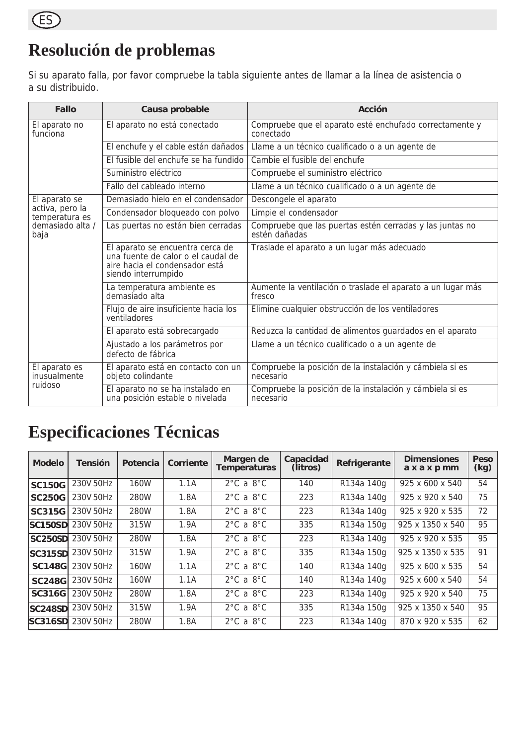

### **Resolución de problemas**

Si su aparato falla, por favor compruebe la tabla siguiente antes de llamar a la línea de asistencia o a su distribuido.

| Fallo                             | Causa probable                                                                                                                  | Acción                                                                    |  |  |  |
|-----------------------------------|---------------------------------------------------------------------------------------------------------------------------------|---------------------------------------------------------------------------|--|--|--|
| El aparato no<br>funciona         | El aparato no está conectado                                                                                                    | Compruebe que el aparato esté enchufado correctamente y<br>conectado      |  |  |  |
|                                   | El enchufe y el cable están dañados                                                                                             | Llame a un técnico cualificado o a un agente de                           |  |  |  |
|                                   | El fusible del enchufe se ha fundido                                                                                            | Cambie el fusible del enchufe                                             |  |  |  |
|                                   | Suministro eléctrico                                                                                                            | Compruebe el suministro eléctrico                                         |  |  |  |
|                                   | Fallo del cableado interno                                                                                                      | Llame a un técnico cualificado o a un agente de                           |  |  |  |
| El aparato se                     | Demasiado hielo en el condensador                                                                                               | Descongele el aparato                                                     |  |  |  |
| activa, pero la<br>temperatura es | Condensador bloqueado con polvo                                                                                                 | Limpie el condensador                                                     |  |  |  |
| demasiado alta /<br>baja          | Las puertas no están bien cerradas                                                                                              | Compruebe que las puertas estén cerradas y las juntas no<br>estén dañadas |  |  |  |
|                                   | El aparato se encuentra cerca de<br>una fuente de calor o el caudal de<br>aire hacia el condensador está<br>siendo interrumpido | Traslade el aparato a un lugar más adecuado                               |  |  |  |
|                                   | La temperatura ambiente es<br>demasiado alta                                                                                    | Aumente la ventilación o traslade el aparato a un lugar más<br>fresco     |  |  |  |
|                                   | Flujo de aire insuficiente hacia los<br>ventiladores                                                                            | Elimine cualquier obstrucción de los ventiladores                         |  |  |  |
|                                   | El aparato está sobrecargado                                                                                                    | Reduzca la cantidad de alimentos guardados en el aparato                  |  |  |  |
|                                   | Ajustado a los parámetros por<br>defecto de fábrica                                                                             | Llame a un técnico cualificado o a un agente de                           |  |  |  |
| El aparato es<br>inusualmente     | El aparato está en contacto con un<br>objeto colindante                                                                         | Compruebe la posición de la instalación y cámbiela si es<br>necesario     |  |  |  |
| ruidoso                           | El aparato no se ha instalado en<br>una posición estable o nivelada                                                             | Compruebe la posición de la instalación y cámbiela si es<br>necesario     |  |  |  |

### **Especificaciones Técnicas**

| <b>Modelo</b>  | <b>Tensión</b> | Potencia | Corriente | Margen de<br>Temperaturas     | Capacidad<br>(litros) | Refrigerante | <b>Dimensiones</b><br>axaxpmm | Peso<br>(kg) |
|----------------|----------------|----------|-----------|-------------------------------|-----------------------|--------------|-------------------------------|--------------|
| <b>SC150G</b>  | 230V 50Hz      | 160W     | 1.1A      | $2^{\circ}$ C a $8^{\circ}$ C | 140                   | R134a 140g   | 925 x 600 x 540               | 54           |
| <b>SC250G</b>  | 230V 50Hz      | 280W     | 1.8A      | $2^{\circ}$ C a $8^{\circ}$ C | 223                   | R134a 140g   | 925 x 920 x 540               | 75           |
| <b>SC315G</b>  | 230V 50Hz      | 280W     | 1.8A      | $2^{\circ}$ C a $8^{\circ}$ C | 223                   | R134a 140g   | 925 x 920 x 535               | 72           |
| SC150SD        | 230V 50Hz      | 315W     | 1.9A      | $2^{\circ}$ C a $8^{\circ}$ C | 335                   | R134a 150g   | 925 x 1350 x 540              | 95           |
| <b>SC250SD</b> | 230V 50Hz      | 280W     | 1.8A      | $2^{\circ}$ C a $8^{\circ}$ C | 223                   | R134a 140g   | 925 x 920 x 535               | 95           |
| <b>SC315SD</b> | 230V 50Hz      | 315W     | 1.9A      | $2^{\circ}$ C a $8^{\circ}$ C | 335                   | R134a 150g   | 925 x 1350 x 535              | 91           |
| <b>SC148G</b>  | 230V 50Hz      | 160W     | 1.1A      | $2^{\circ}$ C a $8^{\circ}$ C | 140                   | R134a 140g   | 925 x 600 x 535               | 54           |
| <b>SC248G</b>  | 230V 50Hz      | 160W     | 1.1A      | $2^{\circ}$ C a $8^{\circ}$ C | 140                   | R134a 140g   | 925 x 600 x 540               | 54           |
| SC316G         | 230V 50Hz      | 280W     | 1.8A      | $2^{\circ}$ C a $8^{\circ}$ C | 223                   | R134a 140g   | 925 x 920 x 540               | 75           |
| <b>SC248SD</b> | 230V 50Hz      | 315W     | 1.9A      | $2^{\circ}$ C a $8^{\circ}$ C | 335                   | R134a 150g   | 925 x 1350 x 540              | 95           |
| SC316SD        | 230V 50Hz      | 280W     | 1.8A      | $2^{\circ}$ C a $8^{\circ}$ C | 223                   | R134a 140g   | 870 x 920 x 535               | 62           |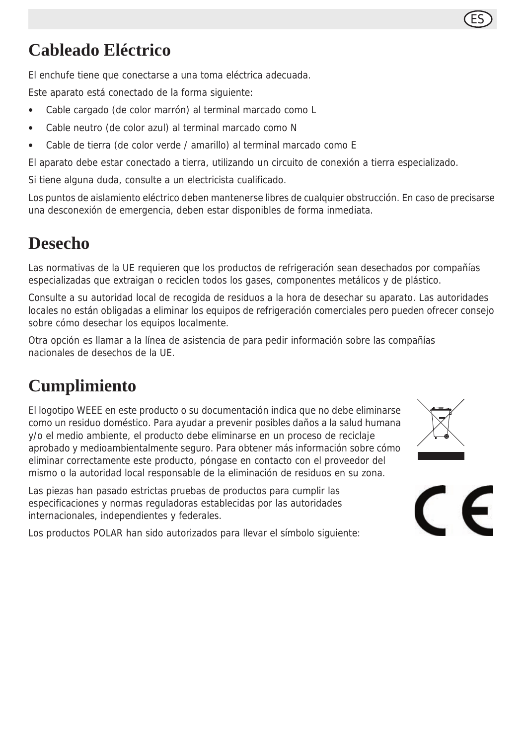### **Cableado Eléctrico**

El enchufe tiene que conectarse a una toma eléctrica adecuada.

Este aparato está conectado de la forma siguiente:

- Cable cargado (de color marrón) al terminal marcado como L
- Cable neutro (de color azul) al terminal marcado como N
- Cable de tierra (de color verde / amarillo) al terminal marcado como E

El aparato debe estar conectado a tierra, utilizando un circuito de conexión a tierra especializado.

Si tiene alguna duda, consulte a un electricista cualificado.

Los puntos de aislamiento eléctrico deben mantenerse libres de cualquier obstrucción. En caso de precisarse una desconexión de emergencia, deben estar disponibles de forma inmediata.

### **Desecho**

Las normativas de la UE requieren que los productos de refrigeración sean desechados por compañías especializadas que extraigan o reciclen todos los gases, componentes metálicos y de plástico.

Consulte a su autoridad local de recogida de residuos a la hora de desechar su aparato. Las autoridades locales no están obligadas a eliminar los equipos de refrigeración comerciales pero pueden ofrecer consejo sobre cómo desechar los equipos localmente.

Otra opción es llamar a la línea de asistencia de para pedir información sobre las compañías nacionales de desechos de la UE.

### **Cumplimiento**

El logotipo WEEE en este producto o su documentación indica que no debe eliminarse como un residuo doméstico. Para ayudar a prevenir posibles daños a la salud humana y/o el medio ambiente, el producto debe eliminarse en un proceso de reciclaje aprobado y medioambientalmente seguro. Para obtener más información sobre cómo eliminar correctamente este producto, póngase en contacto con el proveedor del mismo o la autoridad local responsable de la eliminación de residuos en su zona.

Las piezas han pasado estrictas pruebas de productos para cumplir las especificaciones y normas reguladoras establecidas por las autoridades internacionales, independientes y federales.

Los productos POLAR han sido autorizados para llevar el símbolo siguiente:



ES

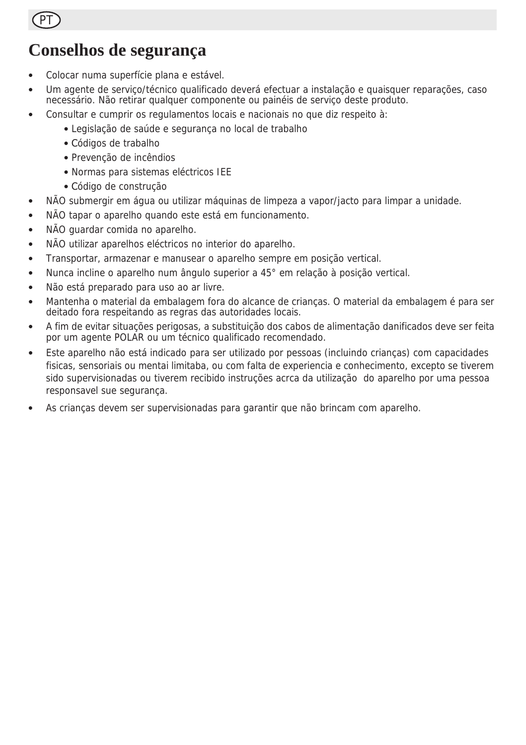PT

### **Conselhos de segurança**

- Colocar numa superfície plana e estável.
- Um agente de serviço/técnico qualificado deverá efectuar a instalação e quaisquer reparações, caso necessário. Não retirar qualquer componente ou painéis de serviço deste produto.
- Consultar e cumprir os regulamentos locais e nacionais no que diz respeito à:
	- Legislação de saúde e segurança no local de trabalho
	- Códigos de trabalho
	- Prevenção de incêndios
	- Normas para sistemas eléctricos IEE
	- Código de construção
- NÃO submergir em água ou utilizar máquinas de limpeza a vapor/jacto para limpar a unidade.
- NÃO tapar o aparelho quando este está em funcionamento.
- NÃO quardar comida no aparelho.
- NÃO utilizar aparelhos eléctricos no interior do aparelho.
- Transportar, armazenar e manusear o aparelho sempre em posição vertical.
- Nunca incline o aparelho num ângulo superior a 45° em relação à posição vertical.
- Não está preparado para uso ao ar livre.
- Mantenha o material da embalagem fora do alcance de crianças. O material da embalagem é para ser deitado fora respeitando as regras das autoridades locais.
- A fim de evitar situações perigosas, a substituição dos cabos de alimentação danificados deve ser feita por um agente POLAR ou um técnico qualificado recomendado.
- Este aparelho não está indicado para ser utilizado por pessoas (incluindo crianças) com capacidades fisicas, sensoriais ou mentai limitaba, ou com falta de experiencia e conhecimento, excepto se tiverem sido supervisionadas ou tiverem recibido instruções acrca da utilização do aparelho por uma pessoa responsavel sue segurança.
- As crianças devem ser supervisionadas para garantir que não brincam com aparelho.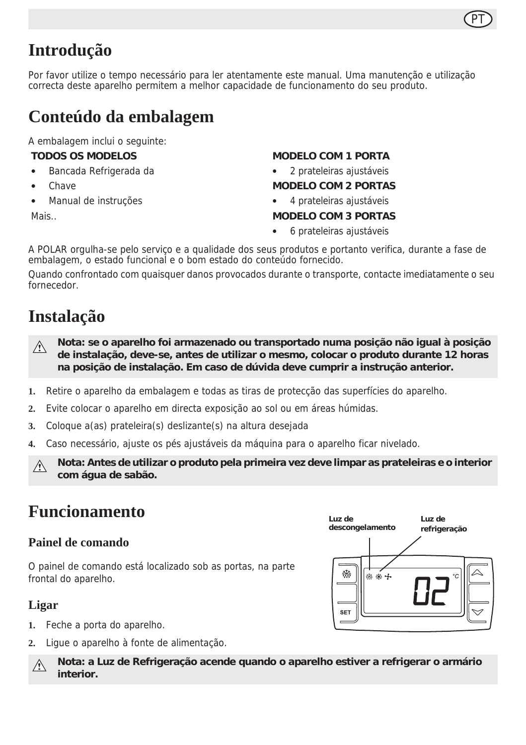### **Introdução**

Por favor utilize o tempo necessário para ler atentamente este manual. Uma manutenção e utilização correcta deste aparelho permitem a melhor capacidade de funcionamento do seu produto.

### **Conteúdo da embalagem**

A embalagem inclui o seguinte:

#### **TODOS OS MODELOS**

- Bancada Refrigerada da
- **Chave**
- Manual de instruções

Mais..

#### **MODELO COM 1 PORTA**

PT

• 2 prateleiras ajustáveis

#### **MODELO COM 2 PORTAS**

• 4 prateleiras ajustáveis

#### **MODELO COM 3 PORTAS**

• 6 prateleiras ajustáveis

A POLAR orgulha-se pelo serviço e a qualidade dos seus produtos e portanto verifica, durante a fase de embalagem, o estado funcional e o bom estado do conteúdo fornecido.

Quando confrontado com quaisquer danos provocados durante o transporte, contacte imediatamente o seu fornecedor.

### **Instalação**

- **Nota: se o aparelho foi armazenado ou transportado numa posição não igual à posição**   $\bigwedge$ **de instalação, deve-se, antes de utilizar o mesmo, colocar o produto durante 12 horas na posição de instalação. Em caso de dúvida deve cumprir a instrução anterior.**
- **1.** Retire o aparelho da embalagem e todas as tiras de protecção das superfícies do aparelho.
- **2.** Evite colocar o aparelho em directa exposição ao sol ou em áreas húmidas.
- **3.** Coloque a(as) prateleira(s) deslizante(s) na altura desejada
- **4.** Caso necessário, ajuste os pés ajustáveis da máquina para o aparelho ficar nivelado.

**Nota: Antes de utilizar o produto pela primeira vez deve limpar as prateleiras e o interior**  $\wedge$ **com água de sabão.**

### **Funcionamento**

#### **Painel de comando**

O painel de comando está localizado sob as portas, na parte frontal do aparelho.

#### **Ligar**

- **1.** Feche a porta do aparelho.
- **2.** Ligue o aparelho à fonte de alimentação.

**Nota: a Luz de Refrigeração acende quando o aparelho estiver a refrigerar o armário**   $\wedge$ **interior.**

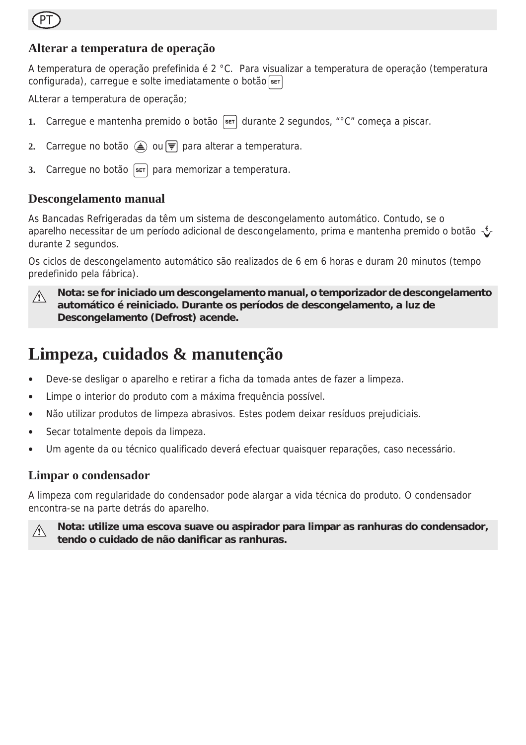

#### **Alterar a temperatura de operação**

A temperatura de operação prefefinida é 2 °C. Para visualizar a temperatura de operação (temperatura configurada), carregue e solte imediatamente o botão

ALterar a temperatura de operação;

- **1.** Carregue e mantenha premido o botão seri durante 2 segundos, "°C" começa a piscar.
- **2.** Carregue no botão (▲) ou vora alterar a temperatura.
- **3.** Carregue no botão seto para memorizar a temperatura.

#### **Descongelamento manual**

As Bancadas Refrigeradas da têm um sistema de descongelamento automático. Contudo, se o aparelho necessitar de um período adicional de descongelamento, prima e mantenha premido o botão  $\sqrt[4]{}$ durante 2 segundos.

Os ciclos de descongelamento automático são realizados de 6 em 6 horas e duram 20 minutos (tempo predefinido pela fábrica).



**Nota: se for iniciado um descongelamento manual, o temporizador de descongelamento automático é reiniciado. Durante os períodos de descongelamento, a luz de Descongelamento (Defrost) acende.**

### **Limpeza, cuidados & manutenção**

- Deve-se desligar o aparelho e retirar a ficha da tomada antes de fazer a limpeza.
- Limpe o interior do produto com a máxima frequência possível.
- Não utilizar produtos de limpeza abrasivos. Estes podem deixar resíduos prejudiciais.
- Secar totalmente depois da limpeza.
- Um agente da ou técnico qualificado deverá efectuar quaisquer reparações, caso necessário.

#### **Limpar o condensador**

A limpeza com regularidade do condensador pode alargar a vida técnica do produto. O condensador encontra-se na parte detrás do aparelho.



**Nota: utilize uma escova suave ou aspirador para limpar as ranhuras do condensador, tendo o cuidado de não danificar as ranhuras.**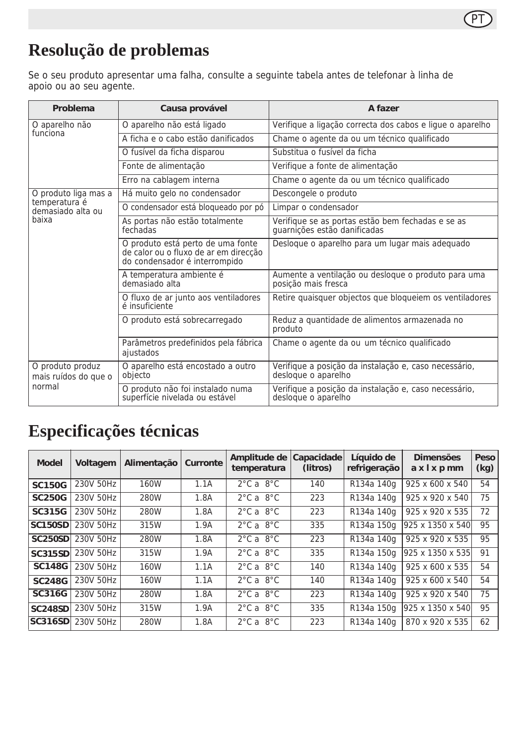### PT

### **Resolução de problemas**

Se o seu produto apresentar uma falha, consulte a seguinte tabela antes de telefonar à linha de apoio ou ao seu agente.

| Problema                                                            | Causa provável                                                                                              | A fazer                                                                           |  |  |  |
|---------------------------------------------------------------------|-------------------------------------------------------------------------------------------------------------|-----------------------------------------------------------------------------------|--|--|--|
| O aparelho não<br>funciona                                          | O aparelho não está ligado                                                                                  | Verifique a ligação correcta dos cabos e ligue o aparelho                         |  |  |  |
|                                                                     | A ficha e o cabo estão danificados                                                                          | Chame o agente da ou um técnico qualificado                                       |  |  |  |
|                                                                     | O fusível da ficha disparou                                                                                 | Substitua o fusível da ficha                                                      |  |  |  |
|                                                                     | Fonte de alimentação                                                                                        | Verifique a fonte de alimentação                                                  |  |  |  |
|                                                                     | Erro na cablagem interna                                                                                    | Chame o agente da ou um técnico qualificado                                       |  |  |  |
| O produto liga mas a<br>temperatura é<br>demasiado alta ou<br>baixa | Há muito gelo no condensador                                                                                | Descongele o produto                                                              |  |  |  |
|                                                                     | O condensador está bloqueado por pó                                                                         | Limpar o condensador                                                              |  |  |  |
|                                                                     | As portas não estão totalmente<br>fechadas                                                                  | Verifique se as portas estão bem fechadas e se as<br>quarnições estão danificadas |  |  |  |
|                                                                     | O produto está perto de uma fonte<br>de calor ou o fluxo de ar em direcção<br>do condensador é interrompido | Desloque o aparelho para um lugar mais adequado                                   |  |  |  |
|                                                                     | A temperatura ambiente é<br>demasiado alta                                                                  | Aumente a ventilação ou deslogue o produto para uma<br>posição mais fresca        |  |  |  |
|                                                                     | O fluxo de ar junto aos ventiladores<br>é insuficiente                                                      | Retire quaisquer objectos que bloqueiem os ventiladores                           |  |  |  |
|                                                                     | O produto está sobrecarregado                                                                               | Reduz a quantidade de alimentos armazenada no<br>produto                          |  |  |  |
|                                                                     | Parâmetros predefinidos pela fábrica<br>ajustados                                                           | Chame o agente da ou um técnico qualificado                                       |  |  |  |
| O produto produz<br>mais ruídos do que o<br>normal                  | O aparelho está encostado a outro<br>objecto                                                                | Verifique a posição da instalação e, caso necessário,<br>deslogue o aparelho      |  |  |  |
|                                                                     | O produto não foi instalado numa<br>superfície nivelada ou estável                                          | Verifique a posição da instalação e, caso necessário,<br>desloque o aparelho      |  |  |  |

### **Especificações técnicas**

| <b>Model</b>   | Voltagem  | Alimentação | Curronte | Amplitude de<br>temperatura   | Capacidade<br>(litros) | Líquido de<br>refrigeração | <b>Dimensões</b><br>axixpmm | Peso<br>(kg) |
|----------------|-----------|-------------|----------|-------------------------------|------------------------|----------------------------|-----------------------------|--------------|
| <b>SC150G</b>  | 230V 50Hz | 160W        | 1.1A     | $2^{\circ}$ C a $8^{\circ}$ C | 140                    | R134a 140g                 | 925 x 600 x 540             | 54           |
| <b>SC250G</b>  | 230V 50Hz | 280W        | 1.8A     | $2^{\circ}$ C a $8^{\circ}$ C | 223                    | R134a 140g                 | 925 x 920 x 540             | 75           |
| SC315G         | 230V 50Hz | 280W        | 1.8A     | $2^{\circ}$ C a $8^{\circ}$ C | 223                    | R134a 140g                 | 925 x 920 x 535             | 72           |
| <b>SC150SD</b> | 230V 50Hz | 315W        | 1.9A     | $2^{\circ}$ C a $8^{\circ}$ C | 335                    | R134a 150g                 | 925 x 1350 x 540            | 95           |
| <b>SC250SD</b> | 230V 50Hz | 280W        | 1.8A     | $2^{\circ}$ C a $8^{\circ}$ C | 223                    | R134a 140g                 | 925 x 920 x 535             | 95           |
| <b>SC315SD</b> | 230V 50Hz | 315W        | 1.9A     | $2^{\circ}$ C a $8^{\circ}$ C | 335                    | R134a 150g                 | 925 x 1350 x 535            | 91           |
| <b>SC148G</b>  | 230V 50Hz | 160W        | 1.1A     | $2^{\circ}$ C a $8^{\circ}$ C | 140                    | R134a 140g                 | 925 x 600 x 535             | 54           |
| <b>SC248G</b>  | 230V 50Hz | 160W        | 1.1A     | $2^{\circ}$ C a $8^{\circ}$ C | 140                    | R134a 140g                 | 925 x 600 x 540             | 54           |
| <b>SC316G</b>  | 230V 50Hz | 280W        | 1.8A     | $2^{\circ}$ C a $8^{\circ}$ C | 223                    | R134a 140g                 | 925 x 920 x 540             | 75           |
| <b>SC248SD</b> | 230V 50Hz | 315W        | 1.9A     | $2^{\circ}$ C a $8^{\circ}$ C | 335                    | R134a 150g                 | 925 x 1350 x 540            | 95           |
| <b>SC316SD</b> | 230V 50Hz | 280W        | 1.8A     | $2^{\circ}$ C a $8^{\circ}$ C | 223                    | R134a 140g                 | 870 x 920 x 535             | 62           |